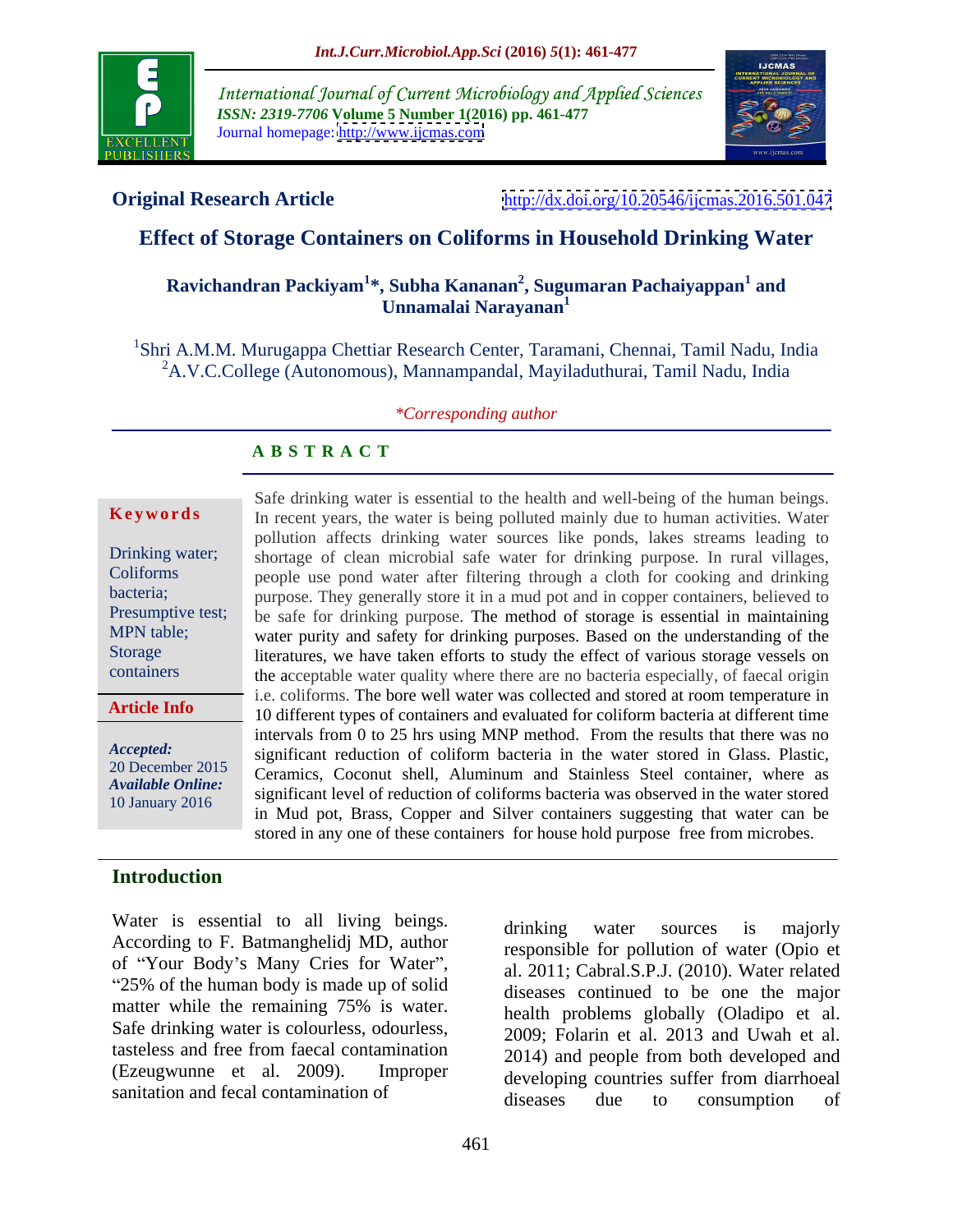

International Journal of Current Microbiology and Applied Sciences *ISSN: 2319-7706* **Volume 5 Number 1(2016) pp. 461-477** Journal homepage: <http://www.ijcmas.com>



**Original Research Article** <http://dx.doi.org/10.20546/ijcmas.2016.501.047>

# **Effect of Storage Containers on Coliforms in Household Drinking Water**

### **Ravichandran Packiyam<sup>1</sup> \*, Subha Kananan 2 , Sugumaran Pachaiyappan<sup>1</sup> and Unnamalai Narayanan<sup>1</sup>**

1Shri A.M.M. Murugappa Chettiar Research Center, Taramani, Chennai, Tamil Nadu, India <sup>2</sup>A.V.C.College (Autonomous), Mannampandal, Mayiladuthurai, Tamil Nadu, India

### *\*Corresponding author*

### **A B S T R A C T**

**Article Info**

# **Introduction**

Water is essential to all living beings. drinking water sources is majorly According to F. Batmanghelidj MD, author of "Your Body's Many Cries for Water", 25% of the human body is made up of solid matter while the remaining 75% is water. Safe drinking water is colourless, odourless, tasteless and free from faecal contamination

Safe drinking water is essential to the health and well-being of the human beings. **Keywords** In recent years, the water is being polluted mainly due to human activities. Water pollution affects drinking water sources like ponds, lakes streams leading to Drinking water; shortage of clean microbial safe water for drinking purpose. In rural villages, people use pond water after filtering through a cloth for cooking and drinking bacteria; purpose. They generally store it in a mud pot and in copper containers, believed to Presumptive test; be safe for drinking purpose. The method of storage is essential in maintaining MPN table; water purity and safety for drinking purposes. Based on the understanding of the Storage literatures, we have taken efforts to study the effect of various storage vessels on the acceptable water quality where there are no bacteria especially, of faecal origin containers i.e. coliforms. The bore well water was collected and stored at room temperature in 10 different types of containers and evaluated for coliform bacteria at different time intervals from  $0$  to  $25$  hrs using MNP method. From the results that there was no Accepted: significant reduction of coliform bacteria in the water stored in Glass. Plastic, Ceramics, Coconut shell, Aluminum and Stainless Steel container, where as 20 December 2015 significant level of reduction of coliforms bacteria was observed in the water stored *Available Online:* in Mud pot, Brass, Copper and Silver containers suggesting that water can be 10 January 2016 stored in any one of these containers for house hold purpose free from microbes. Drinking water; shortage of clean microbial safe water for drinking purpose. In rural villages,

(Ezeugwunne et al. 2009). Improper developing countries suffer from diarrhoeal sanitation and fecal contamination of diseases due to consumption of drinking water sources is majorly responsible for pollution of water (Opio et al. 2011; Cabral.S.P.J. (2010). Water related diseases continued to be one the major health problems globally (Oladipo et al. 2009; Folarin et al. 2013 and Uwah et al. 2014) and people from both developed and diseases due to consumption of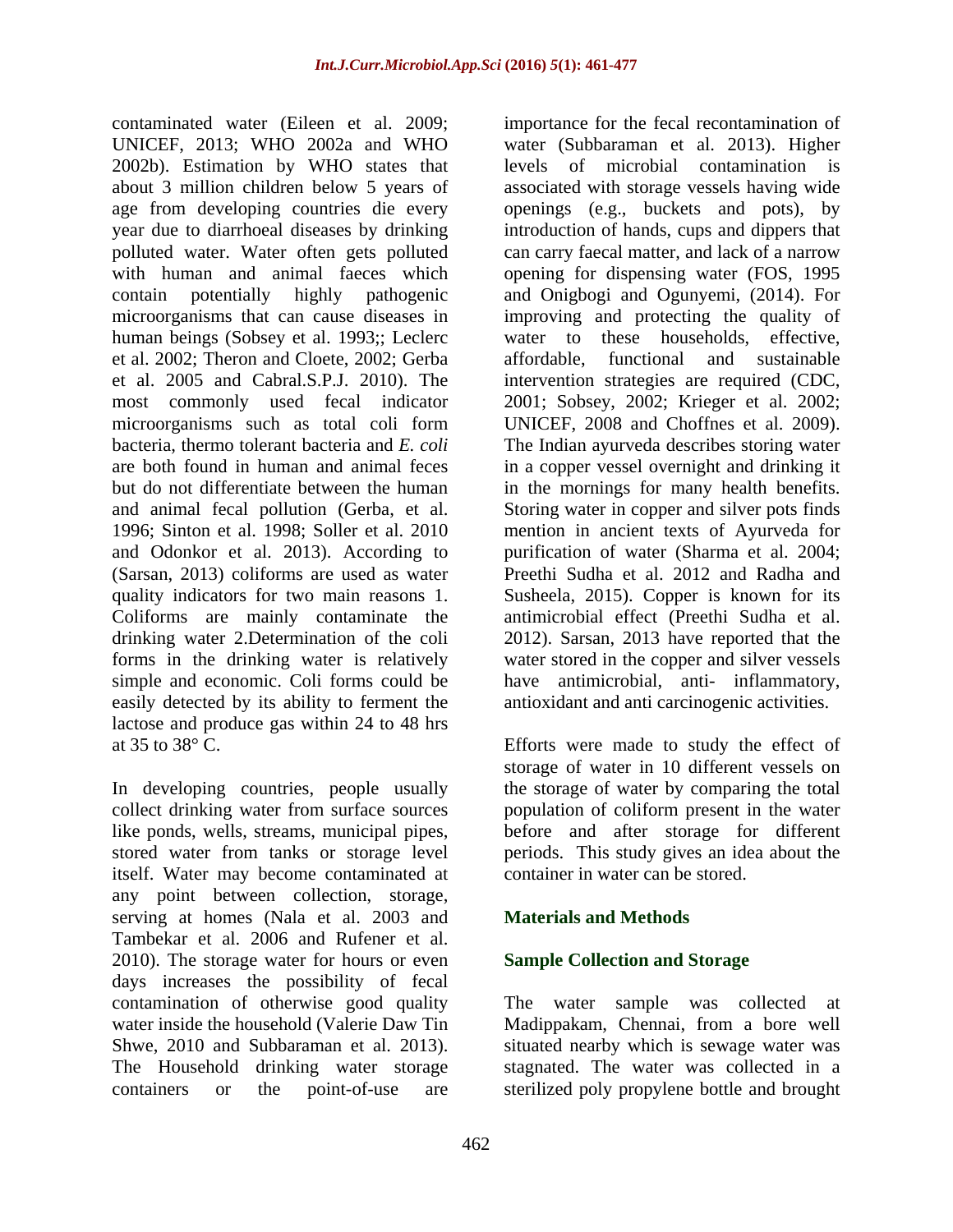contaminated water (Eileen et al. 2009; importance for the fecal recontamination of UNICEF, 2013; WHO 2002a and WHO water (Subbaraman et al. 2013). Higher 2002b). Estimation by WHO states that levels of microbial contamination is about 3 million children below 5 years of associated with storage vessels having wide age from developing countries die every openings (e.g., buckets and pots), by year due to diarrhoeal diseases by drinking introduction of hands, cups and dippers that polluted water. Water often gets polluted can carry faecal matter, and lack of a narrow with human and animal faeces which opening for dispensing water (FOS, 1995 contain potentially highly pathogenic and Onigbogi and Ogunyemi, (2014). For microorganisms that can cause diseases in improving and protecting the quality of human beings (Sobsey et al. 1993;; Leclerc water to these households, effective, et al. 2002; Theron and Cloete, 2002; Gerba et al. 2005 and Cabral.S.P.J. 2010). The intervention strategies are required (CDC, most commonly used fecal indicator 2001; Sobsey, 2002; Krieger et al. 2002; microorganisms such as total coli form UNICEF, 2008 and Choffnes et al. 2009). bacteria, thermo tolerant bacteria and *E. coli* The Indian ayurveda describes storing water are both found in human and animal feces in a copper vessel overnight and drinking it but do not differentiate between the human in the mornings for many health benefits. and animal fecal pollution (Gerba, et al. Storing water in copper and silver pots finds 1996; Sinton et al. 1998; Soller et al. 2010 mention in ancient texts of Ayurveda for and Odonkor et al. 2013). According to (Sarsan, 2013) coliforms are used as water Preethi Sudha et al. 2012 and Radha and quality indicators for two main reasons 1. Susheela, 2015). Copper is known for its Coliforms are mainly contaminate the antimicrobial effect (Preethi Sudha et al. drinking water 2.Determination of the coli 2012). Sarsan, 2013 have reported that the forms in the drinking water is relatively water stored in the copper and silver vessels simple and economic. Coli forms could be have antimicrobial, anti- inflammatory, easily detected by its ability to ferment the lactose and produce gas within 24 to 48 hrs at 35 to  $38^{\circ}$  C. at 35 to 38° C. Efforts were made to study the effect of

In developing countries, people usually collect drinking water from surface sources population of coliform present in the water like ponds, wells, streams, municipal pipes, before and after storage for different stored water from tanks or storage level periods. This study gives an idea about the itself. Water may become contaminated at any point between collection, storage, serving at homes (Nala et al. 2003 and **Materials and Methods** Tambekar et al. 2006 and Rufener et al. 2010). The storage water for hours or even days increases the possibility of fecal contamination of otherwise good quality The water sample was collected at water inside the household (Valerie Daw Tin Madippakam, Chennai, from a bore well Shwe, 2010 and Subbaraman et al. 2013). Situated nearby which is sewage water was The Household drinking water storage stagnated. The water was collected in a

levels of microbial contamination is water to these households, functional and sustainable purification of water (Sharma et al. 2004; antioxidant and anti carcinogenic activities.

storage of water in 10 different vessels on the storage of water by comparing the total container in water can be stored.

# **Materials and Methods**

## **Sample Collection and Storage**

containers or the point-of-use are sterilized poly propylene bottle and brought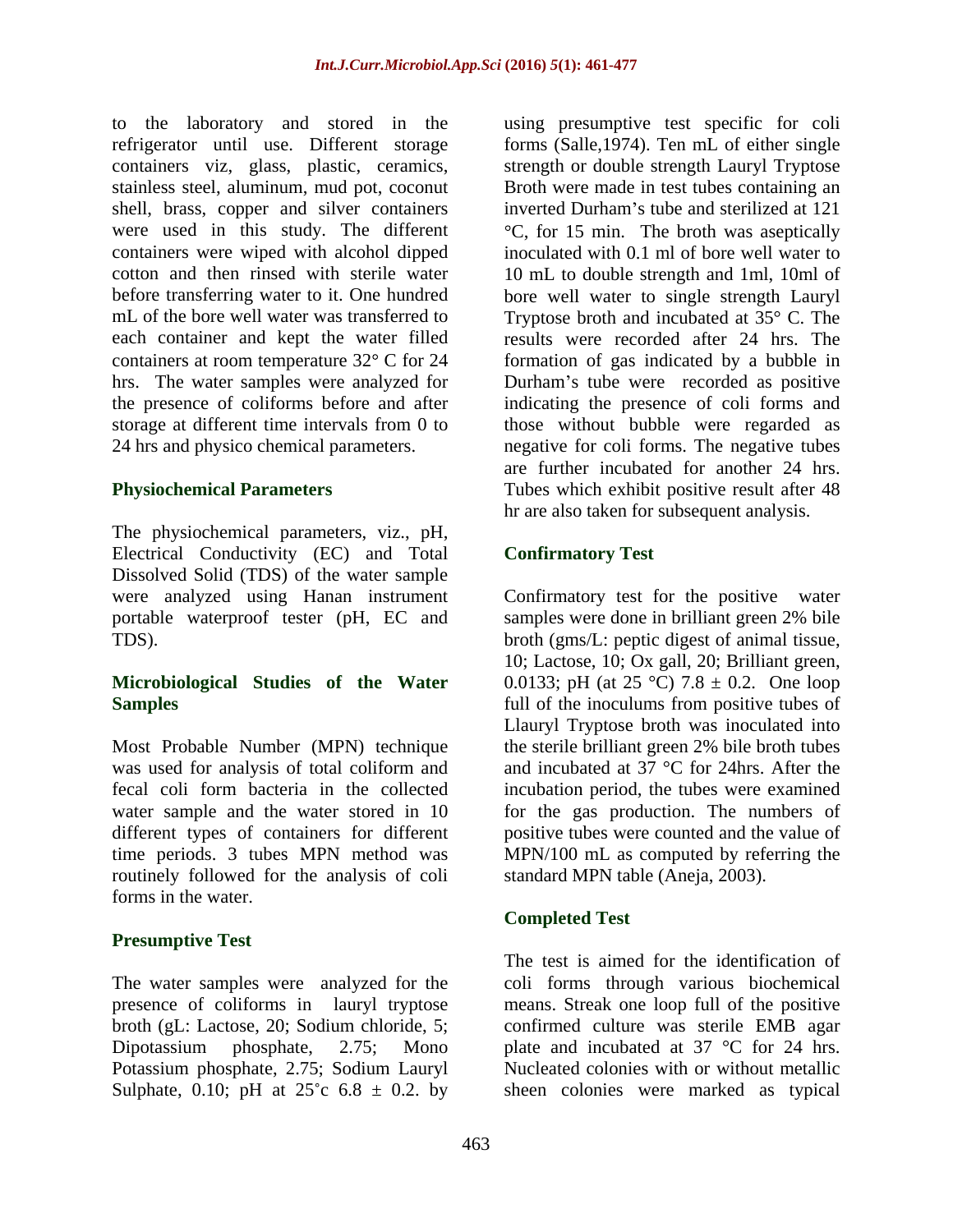to the laboratory and stored in the refrigerator until use. Different storage forms (Salle,1974). Ten mL of either single containers viz, glass, plastic, ceramics, strength or double strength Lauryl Tryptose stainless steel, aluminum, mud pot, coconut Broth were made in test tubes containing an shell, brass, copper and silver containers inverted Durham's tube and sterilized at 121 were used in this study. The different  $\degree$ C, for 15 min. The broth was aseptically containers were wiped with alcohol dipped inoculated with 0.1 ml of bore well water to cotton and then rinsed with sterile water 10 mL to double strength and 1ml, 10ml of before transferring water to it. One hundred bore well water to single strength Lauryl mL of the bore well water was transferred to Tryptose broth and incubated at 35° C. The each container and kept the water filled results were recorded after 24 hrs. The containers at room temperature  $32^{\circ}$  C for 24 formation of gas indicated by a bubble in hrs. The water samples were analyzed for Durham's tube were recorded as positive the presence of coliforms before and after indicating the presence of coli forms and storage at different time intervals from 0 to those without bubble were regarded as 24 hrs and physico chemical parameters. negative for coli forms. The negative tubes

The physiochemical parameters, viz., pH, Electrical Conductivity (EC) and Total Dissolved Solid (TDS) of the water sample were analyzed using Hanan instrument Confirmatory test for the positive water portable waterproof tester (pH, EC and samples were done in brilliant green 2% bile

Most Probable Number (MPN) technique the sterile brilliant green 2% bile broth tubes routinely followed for the analysis of coli forms in the water.

## **Presumptive Test**

Sulphate, 0.10; pH at  $25^{\circ}$ c 6.8  $\pm$  0.2. by sheen colonies were marked as typical

**Physiochemical Parameters** Tubes which exhibit positive result after 48 using presumptive test specific for coli inverted Durham's tube and sterilized at 121 are further incubated for another 24 hrs. hr are also taken for subsequent analysis.

# **Confirmatory Test**

TDS). broth (gms/L: peptic digest of animal tissue, **Microbiological Studies of the Water** 0.0133; pH (at 25 °C) 7.8 ± 0.2. One loop **Samples Samples EXECUTE: Samples EXECUTE: Samples EXECUTE: SAMPLES EXECUTE: EXECUTE: EXECUTE: EXECUTE: EXECUTE: EXECUTE: EXECUTE: EXECUTE: EXECUTE: EXECUTE: EXECUTE: EXECUTE: EXECUT** was used for analysis of total coliform and and incubated at 37 °C for 24hrs. After the fecal coli form bacteria in the collected incubation period, the tubes were examined water sample and the water stored in 10 for the gas production. The numbers of different types of containers for different positive tubes were counted and the value of time periods. 3 tubes MPN method was MPN/100 mL as computed by referring the Confirmatory test for the positive samples were done in brilliant green 2% bile 10; Lactose, 10; Ox gall, 20; Brilliant green, Llauryl Tryptose broth was inoculated into the sterile brilliant green 2% bile broth tubes standard MPN table (Aneja, 2003).

## **Completed Test**

The water samples were analyzed for the coli forms through various biochemical presence of coliforms in lauryl tryptose means. Streak one loop full of the positive broth (gL: Lactose, 20; Sodium chloride, 5; confirmed culture was sterile EMB agar Dipotassium phosphate, 2.75; Mono plate and incubated at 37 °C for 24 hrs. Potassium phosphate, 2.75; Sodium Lauryl Nucleated colonies with or without metallic The test is aimed for the identification of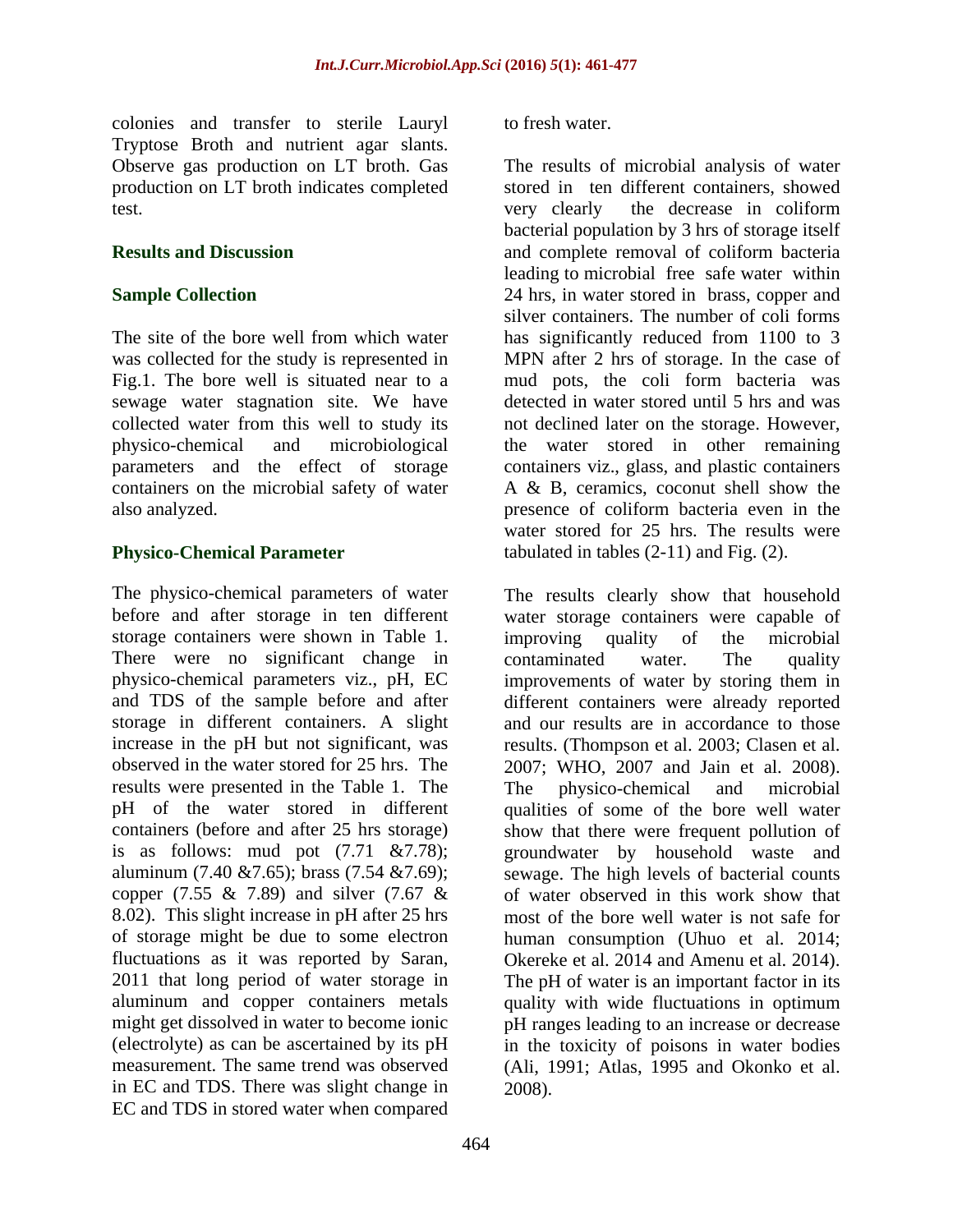colonies and transfer to sterile Lauryl Tryptose Broth and nutrient agar slants. test. The contract of the contract of the decrease in coliform the decrease in coliform

sewage water stagnation site. We have containers on the microbial safety of water

The physico-chemical parameters of water storage containers were shown in Table 1. improving quality of the microbial There were no significant change in contaminated water. The quality storage in different containers. A slight results were presented in the Table 1. The The physico-chemical and microbial aluminum (7.40 &7.65); brass (7.54 &7.69); copper (7.55 & 7.89) and silver (7.67 & 8.02). This slight increase in pH after 25 hrs of storage might be due to some electron in EC and TDS. There was slight change in EC and TDS in stored water when compared

to fresh water.

Observe gas production on LT broth. Gas The results of microbial analysis of water production on LT broth indicates completed stored in ten different containers, showed **Results and Discussion** and complete removal of coliform bacteria **Sample Collection** 24 hrs, in water stored in brass, copper and The site of the bore well from which water has significantly reduced from 1100 to 3 was collected for the study is represented in MPN after 2 hrs of storage. In the case of Fig.1. The bore well is situated near to a mud pots, the coli form bacteria was collected water from this well to study its not declined later on the storage. However, physico-chemical and microbiological the water stored in other remaining parameters and the effect of storage containers viz., glass, and plastic containers also analyzed. presence of coliform bacteria even in the **Physico-Chemical Parameter** tabulated in tables (2-11) and Fig. (2). very clearly the decrease in coliform bacterial population by 3 hrs of storage itself leading to microbial free safewater within silver containers. The number of coli forms detected in water stored until 5 hrs and was A & B, ceramics, coconut shell show the water stored for 25 hrs. The results were

before and after storage in ten different water storage containers were capable of physico-chemical parameters viz., pH, EC improvements of water by storing them in and TDS of the sample before and after different containers were already reported increase in the pH but not significant, was results. (Thompson et al. 2003; Clasen et al. observed in the water stored for 25 hrs. The 2007; WHO, 2007 and Jain et al. 2008). pH of the water stored in different qualities of some of the bore well water containers (before and after 25 hrs storage) show that there were frequent pollution of is as follows: mud pot (7.71 &7.78); groundwater by household waste and fluctuations as it was reported by Saran, Cheeke et al. 2014 and Amenu et al. 2014).<br>2011 that long period of water storage in The pH of water is an important factor in its aluminum and copper containers metals quality with wide fluctuations in optimum might get dissolved in water to become ionic pH ranges leading to an increase or decrease (electrolyte) as can be ascertained by its pH in the toxicity of poisons in water bodies measurement. The same trend was observed (Ali, 1991; Atlas, 1995 and Okonko et al. The results clearly show that household improving quality of the microbial contaminated water. The quality and our results are in accordance to those The physico-chemical and microbial sewage. The high levels of bacterial counts of water observed in this work show that most of the bore well water is not safe for human consumption (Uhuo et al. 2014; Okereke et al. 2014 and Amenu et al. 2014). The pH of water is an important factor in its 2008).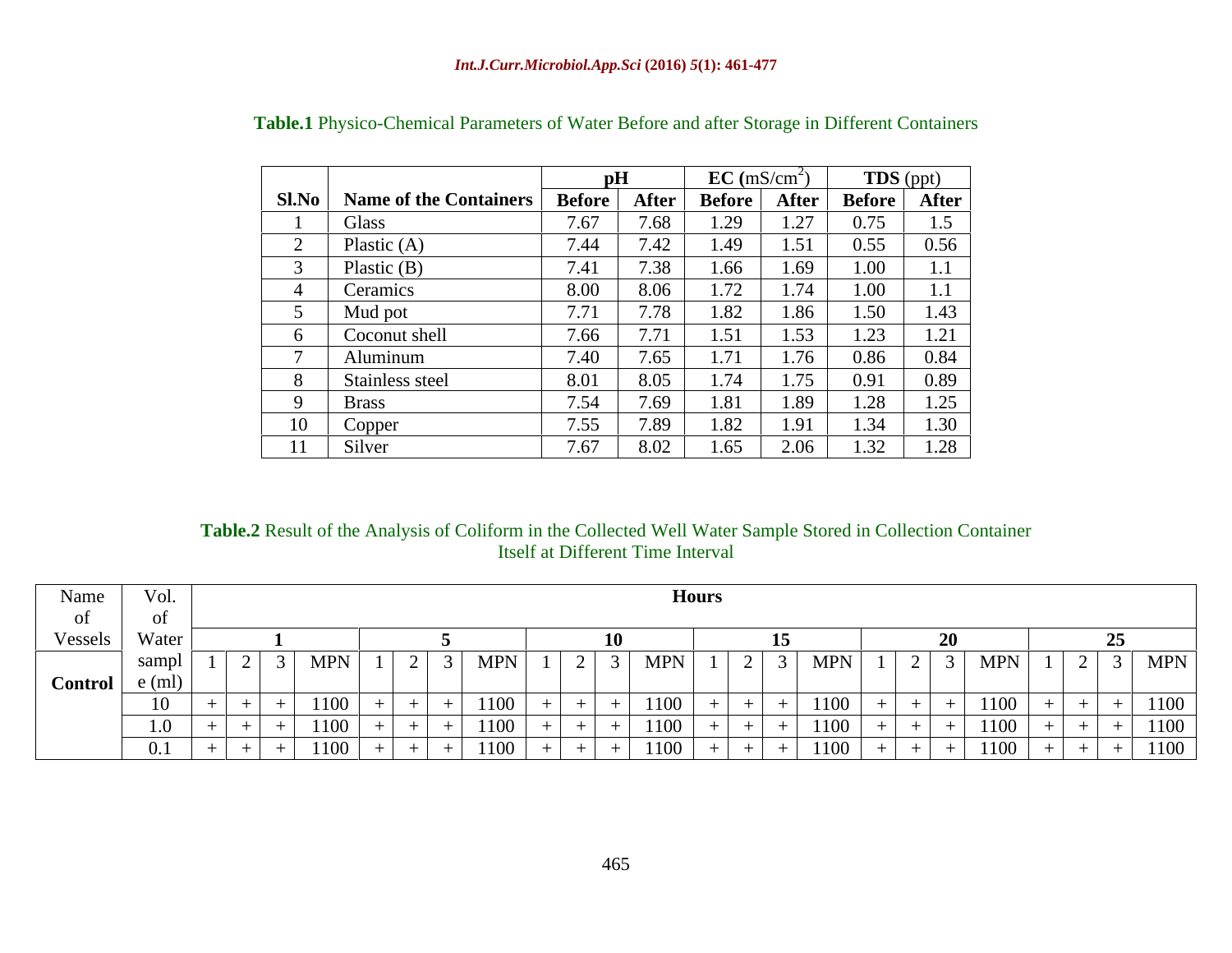|                |                                | pH            |              | $EC \text{ (mS/cm}^2)$ |             | TDS (ppt)              |              |
|----------------|--------------------------------|---------------|--------------|------------------------|-------------|------------------------|--------------|
|                | Sl.No   Name of the Containers | <b>Before</b> | <b>After</b> | <b>Before</b>          |             | After   Before   After |              |
|                | Glass                          | 7.67          | 7.68         | 1.29                   | 1.27        | 0.75                   | 1.5          |
|                | Plastic $(A)$                  | 7.44          | 7.42         | 1.49                   | 551<br>1.71 | 0.55                   | 0.56         |
|                | Plastic $(B)$                  | 7.41          | 7.38         | 1.66                   | 1.69        | 1.00                   |              |
|                | Ceramics                       | 8.00          | 8.06         | 1.72                   | 1.74        | 1.00                   |              |
|                | Mud pot                        | 7.71          | 7.78         | 1.82                   | 1.86        | 1.50                   | 1.43         |
|                | Coconut shell                  | 7.66          | 7.71         | 1.51                   | 1.53        | 1.23                   | 1.21<br>1.41 |
|                | Aluminum                       | 7.40          | 7.65         | .71                    | .76         | 0.86                   | 0.84         |
|                | Stainless steel                | 8.01          | 8.05         | 1.74                   | 1.75        | 0.91                   | 0.89         |
|                | <b>Brass</b>                   | 7.54          | 7.69         | 1.81                   | 1.89        | 1.28                   | 1.25         |
| 1 <sub>0</sub> | Copper                         | 7.55          | 7.89         | 1.82                   | $\sqrt{91}$ | 1.34                   | 1.30         |
| 11             | Silver                         | 7.67          | 8.02         | 1.65                   | 2.06        | 1.32                   | 1.28         |

# **Table.1** Physico-Chemical Parameters of Water Before and after Storage in Different Containers

### **Table.2** Result of the Analysis of Coliform in the Collected Well Water Sample Stored in Collection Container Itself at Different Time Interval

| Name           | VQ <sub>L</sub> |            |                                 |            |                                |         |                                      |     |                                   |
|----------------|-----------------|------------|---------------------------------|------------|--------------------------------|---------|--------------------------------------|-----|-----------------------------------|
| OI.            |                 |            |                                 |            |                                |         |                                      |     |                                   |
| Vessels        | Water           |            |                                 |            |                                |         |                                      |     |                                   |
|                | зашрі           | <b>MPN</b> | $\sim$ $\sim$<br>$\blacksquare$ | <b>MPN</b> | <b>MPN</b><br>$1 \cdot \alpha$ | $3$ MPN | $\mid 2 \mid 3 \mid \text{MPN} \mid$ |     | $1 \mid 2 \mid 3 \mid \text{MPN}$ |
| <b>Control</b> |                 |            |                                 |            |                                |         |                                      |     |                                   |
|                |                 |            | ____                            | 1100       | the control of the control of  |         | and the state of                     |     | $  -$                             |
|                |                 |            |                                 |            |                                |         |                                      |     |                                   |
|                |                 | 100        |                                 | 1100       | ______<br>1100                 | 1100    | ____<br>___<br>$+$ $+$ $+$           | 100 | 1100                              |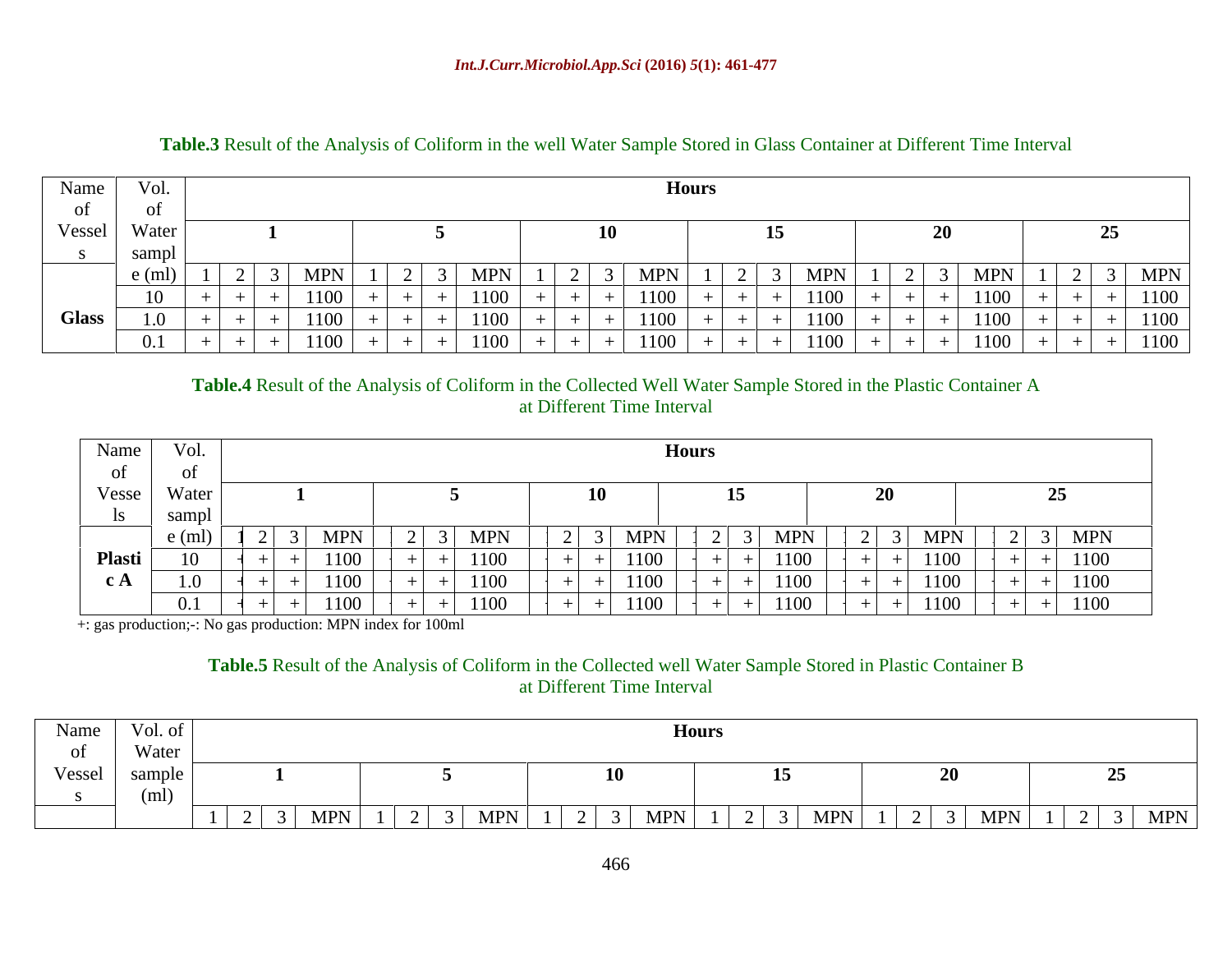| Name         | $\mathcal{S}$   Vol. |      |      | <b>HOUL!</b> |                   |                          |                   |            |
|--------------|----------------------|------|------|--------------|-------------------|--------------------------|-------------------|------------|
| of           | ΟÌ                   |      |      |              |                   |                          |                   |            |
| Vessel Water |                      |      |      |              |                   |                          |                   |            |
|              |                      |      |      |              |                   | _____                    |                   |            |
|              |                      |      |      | <b>MPN</b>   | <b>MPN</b>        | $\overline{\phantom{0}}$ | <b>MPN</b>        | <b>MPN</b> |
|              | 10                   | 1100 | 1100 |              | 1100              |                          | 1100              | 1100       |
| Glass        |                      |      |      |              | 1100              |                          | 1100              | $- 1100$   |
|              |                      | 1100 | 1100 |              | 1100<br>+ + + + + | $+$ $+$                  | 1100 <sub>1</sub> | $+ 1100$   |

### **Table.3** Result of the Analysis of Coliform in the well Water Sample Stored in Glass Container at Different Time Interval

**Table.4** Result of the Analysis of Coliform in the Collected Well Water Sample Stored in the Plastic Container A at Different Time Interval

| Name                    | Vol.                          |                               |                                                                                                                 |                                                                                                                                                               |                                                                                                                          |                                                                                                                                                      |                                                                                                                             |
|-------------------------|-------------------------------|-------------------------------|-----------------------------------------------------------------------------------------------------------------|---------------------------------------------------------------------------------------------------------------------------------------------------------------|--------------------------------------------------------------------------------------------------------------------------|------------------------------------------------------------------------------------------------------------------------------------------------------|-----------------------------------------------------------------------------------------------------------------------------|
| of                      |                               |                               |                                                                                                                 |                                                                                                                                                               |                                                                                                                          |                                                                                                                                                      |                                                                                                                             |
| Vesse Water             |                               |                               |                                                                                                                 |                                                                                                                                                               |                                                                                                                          |                                                                                                                                                      |                                                                                                                             |
| $\overline{\mathbf{S}}$ | saml                          |                               |                                                                                                                 |                                                                                                                                                               |                                                                                                                          |                                                                                                                                                      |                                                                                                                             |
|                         |                               |                               | <b>INIL TA</b>                                                                                                  | <b>MPN</b>                                                                                                                                                    | TATT TA<br>$\sim$ 1                                                                                                      | <b>MPN</b>                                                                                                                                           | $3$ MPN                                                                                                                     |
| <b>Plasti</b>           | $\overline{1}$                |                               |                                                                                                                 | <b>UU</b><br>$\blacksquare$                                                                                                                                   | l 100-                                                                                                                   |                                                                                                                                                      | $+ \ 1100$                                                                                                                  |
| $c_A$                   | $\mathbf{I} \cdot \mathbf{U}$ |                               |                                                                                                                 | .                                                                                                                                                             |                                                                                                                          |                                                                                                                                                      | $+ 1100$                                                                                                                    |
|                         |                               | the control of the control of | the contract of the contract of the contract of the contract of the contract of the contract of the contract of | (1)<br>the contract of the contract of the contract of the contract of the contract of the contract of the contract of<br>the contract of the contract of the | 100 M<br>the contract of the contract of the contract of the contract of the contract of the contract of the contract of | the contract of the contract of the contract of the contract of the contract of the contract of the contract of<br>the control of the control of the | $+ 1100$<br>the contract of the contract of the contract of the contract of the contract of the contract of the contract of |

+: gas production;-: No gas production: MPN index for 100ml

### **Table.5** Result of the Analysis of Coliform in the Collected well Water Sample Stored in Plastic Container B at Different Time Interval

| $\blacksquare$ Name $\blacksquare$<br>Vol. of |                                                                                 |                             |                      |     |                                   |                                                                                    |                |
|-----------------------------------------------|---------------------------------------------------------------------------------|-----------------------------|----------------------|-----|-----------------------------------|------------------------------------------------------------------------------------|----------------|
| Water<br>- 01<br>$\mathbf{v}$                 |                                                                                 |                             |                      |     |                                   |                                                                                    |                |
| Vessel                                        |                                                                                 |                             |                      |     | $\blacksquare$                    | $\mathbf{A}$                                                                       |                |
|                                               |                                                                                 |                             |                      |     |                                   |                                                                                    |                |
|                                               | the contract of the contract of the contract of the contract of the contract of | <b>MPN</b><br>$\cap$ $\cap$ | <b>MPN</b><br>$\Box$ | MPN | $MPN$   1<br>$\sim$ $\sim$ $\sim$ | $\begin{array}{c c c c c c c c c} \hline \end{array}$ 2   3   MPN   $\blacksquare$ | $3$ MPN $\mid$ |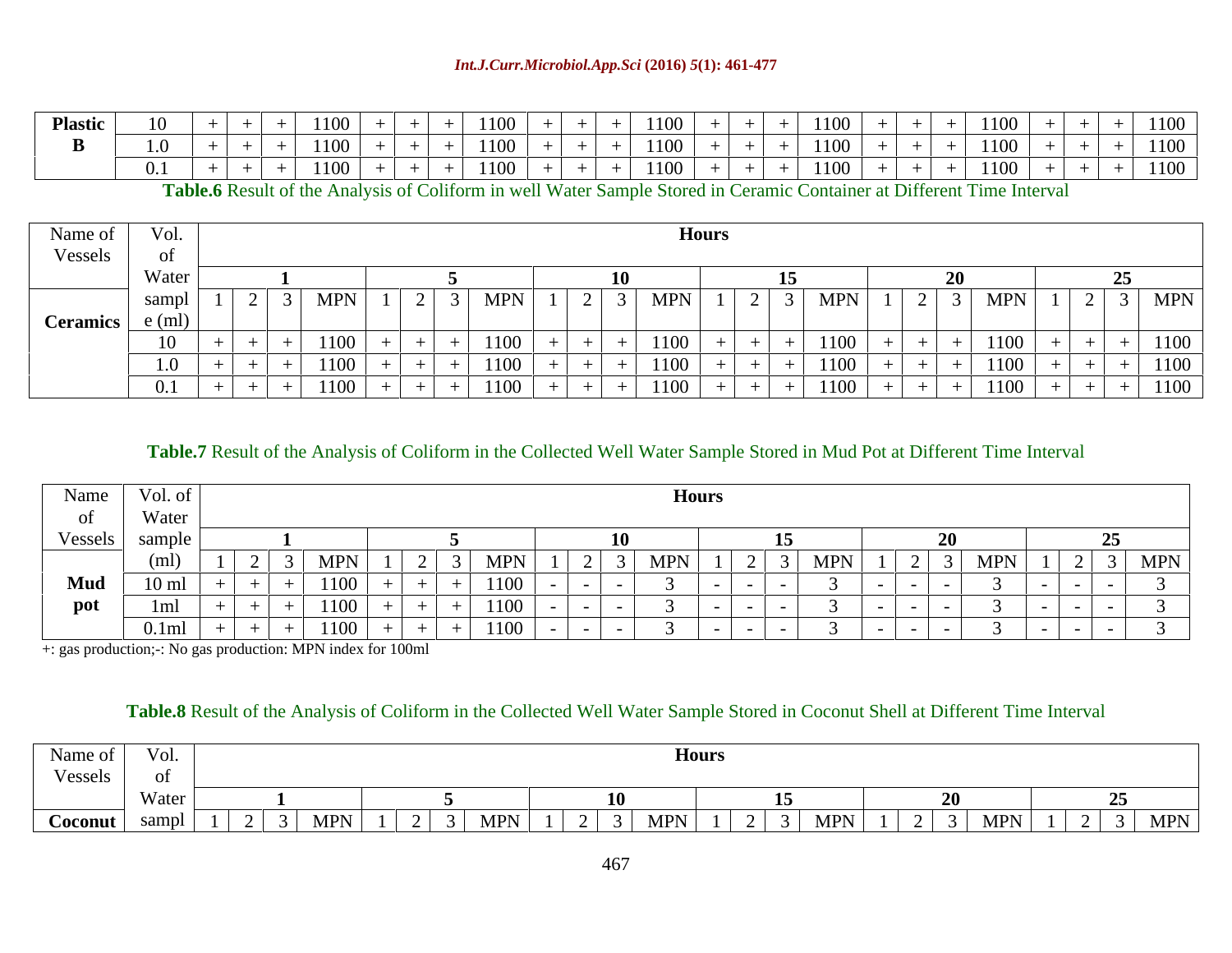| <b>Plastic</b> |  |  |  |  |  | ------ |  | 1100 | $+$ $+$ | 1100 |  |  | $-1100$    |  | 1100 |  | $+ 1100$ |  |
|----------------|--|--|--|--|--|--------|--|------|---------|------|--|--|------------|--|------|--|----------|--|
|                |  |  |  |  |  |        |  | 1100 | $+$ $+$ | 1100 |  |  | $+$ + 1100 |  | 1100 |  | 1100     |  |
|                |  |  |  |  |  |        |  | 1100 | $+$ $+$ | 1100 |  |  |            |  | 1100 |  | 1100     |  |

**Table.6** Result of the Analysis of Coliform in well Water Sample Stored in Ceramic Container at Different Time Interval

| Name of $\vert$ | Vol.         |                                                                                          |                        |                                        | <b>Hours</b> |               |        |                                   |                                                           |
|-----------------|--------------|------------------------------------------------------------------------------------------|------------------------|----------------------------------------|--------------|---------------|--------|-----------------------------------|-----------------------------------------------------------|
| Vessels         | <b>OI</b>    |                                                                                          |                        |                                        |              |               |        |                                   |                                                           |
|                 | Water        |                                                                                          |                        |                                        |              |               |        |                                   |                                                           |
|                 | <b>DULLI</b> | ____<br><b>MP</b><br>$\overline{\phantom{a}}$                                            | <b>MDN</b><br>J   MILI | $1 \mid 2 \mid 3 \mid \text{MPN} \mid$ |              | $\frac{1}{2}$ | MPN    | $1 \mid 2 \mid 3 \mid \text{MPN}$ | ————————————————————<br>$1 \mid 2 \mid 3 \mid \text{MPN}$ |
| <b>Ceramics</b> |              |                                                                                          |                        |                                        |              |               |        |                                   |                                                           |
|                 |              | 1100.<br>the contract of the contract of the contract of the contract of the contract of |                        |                                        | 1100         | $+$ $-$       |        | 1100<br>+ + + + + +               | $+$ $-$                                                   |
|                 |              |                                                                                          |                        |                                        |              |               |        | 1100-<br>.                        | $+$ $+$ $+$ $+$                                           |
|                 |              | 1100                                                                                     |                        |                                        | 1100         | $\sim$ $\sim$ | LIUU I | 1100                              | $+$ $+$ $+$<br>$+$                                        |

**Table.7** Result of the Analysis of Coliform in the Collected Well Water Sample Stored in Mud Pot at Different Time Interval

| Name    | Vol. of      |                                                         |                                                                                                                         |                                                                                 | <b>HOUL?</b>                                                                                                    |        |           |        |            |
|---------|--------------|---------------------------------------------------------|-------------------------------------------------------------------------------------------------------------------------|---------------------------------------------------------------------------------|-----------------------------------------------------------------------------------------------------------------|--------|-----------|--------|------------|
|         | Water        |                                                         |                                                                                                                         |                                                                                 |                                                                                                                 |        |           |        |            |
| Vessels | sample<br>50 |                                                         |                                                                                                                         |                                                                                 |                                                                                                                 |        |           |        |            |
|         |              |                                                         |                                                                                                                         |                                                                                 |                                                                                                                 | 1 ADA  | MP'       | ______ | <b>MPN</b> |
| Mud     | 10r          |                                                         |                                                                                                                         | ____                                                                            |                                                                                                                 |        | _________ |        |            |
| pot     |              |                                                         | 1100                                                                                                                    |                                                                                 |                                                                                                                 |        |           |        |            |
|         | $0.1$ ml     | 1100<br>the contract of the contract of the contract of | 1100<br>the contract of the contract of the contract of the contract of the contract of the contract of the contract of | the contract of the contract of the contract of the contract of the contract of | the contract of the contract of the contract of the contract of the contract of the contract of the contract of | ______ |           |        |            |

+: gas production;-: No gas production: MPN index for 100ml

# **Table.8** Result of the Analysis of Coliform in the Collected Well Water Sample Stored in Coconut Shell at Different Time Interval

| Name of<br>Vol.     |                                                                                                                               |                                                                                                                                                |                                   |                         |                                                                                                                                                                                                                                                                                                                                                                                     |                     |
|---------------------|-------------------------------------------------------------------------------------------------------------------------------|------------------------------------------------------------------------------------------------------------------------------------------------|-----------------------------------|-------------------------|-------------------------------------------------------------------------------------------------------------------------------------------------------------------------------------------------------------------------------------------------------------------------------------------------------------------------------------------------------------------------------------|---------------------|
| Vessels             |                                                                                                                               |                                                                                                                                                |                                   |                         |                                                                                                                                                                                                                                                                                                                                                                                     |                     |
| Water               |                                                                                                                               |                                                                                                                                                |                                   |                         |                                                                                                                                                                                                                                                                                                                                                                                     |                     |
| Coconut   sampl   1 | <b>MPN</b><br>the contract of the contract of the contract of the contract of the contract of the contract of the contract of | $\mid$ MPN<br>$\sim$ $\sim$<br>the contract of the contract of the contract of the contract of the contract of the contract of the contract of | $1 \mid 2 \mid 3 \mid \text{MPN}$ | <b>MPN</b><br>$\bigcap$ | $\begin{array}{ c c c c c } \hline 2 & 3 & MPN \ \hline \end{array}$<br>$\mathbf{r}$ , $\mathbf{r}$ , $\mathbf{r}$ , $\mathbf{r}$ , $\mathbf{r}$ , $\mathbf{r}$ , $\mathbf{r}$ , $\mathbf{r}$ , $\mathbf{r}$ , $\mathbf{r}$ , $\mathbf{r}$ , $\mathbf{r}$ , $\mathbf{r}$ , $\mathbf{r}$ , $\mathbf{r}$ , $\mathbf{r}$ , $\mathbf{r}$ , $\mathbf{r}$ , $\mathbf{r}$ , $\mathbf{r}$ , | $\frac{1}{2}$ 3 MPN |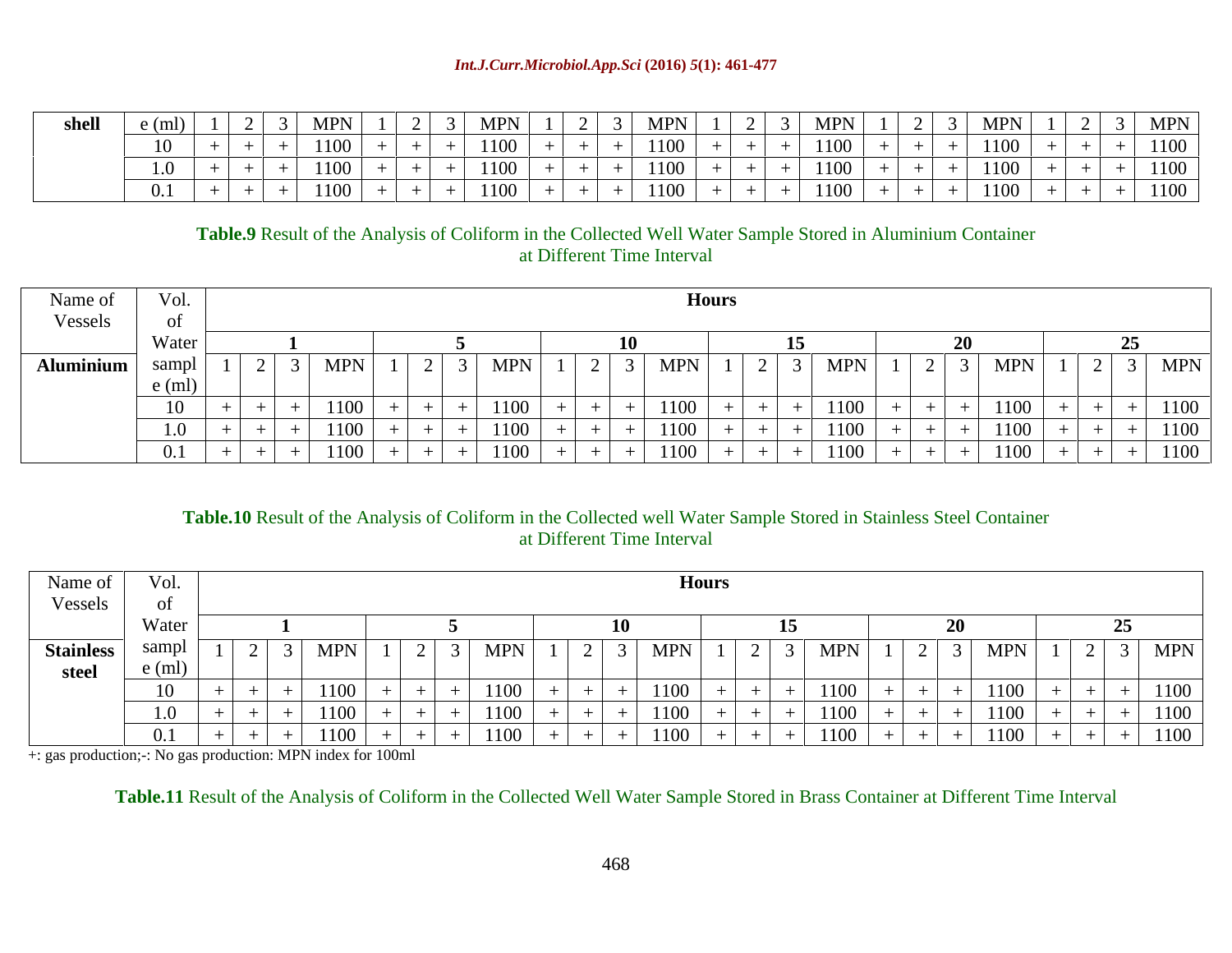| $\sim$ $\sim$ $\sim$ $\sim$ | 2   MDN | $\begin{array}{c} \square$ $\cap$ $\begin{array}{c} \square$ |  |                    | the contract of the contract of |                       |   |                  | $1 \mid 2 \mid 3 \mid \text{MPN}$<br>the contract of the contract of the contract of |
|-----------------------------|---------|--------------------------------------------------------------|--|--------------------|---------------------------------|-----------------------|---|------------------|--------------------------------------------------------------------------------------|
|                             | 1100.   |                                                              |  | $1100 + 1 + 1 + 1$ |                                 | .                     |   | $+ + + + + 1100$ |                                                                                      |
|                             |         |                                                              |  |                    |                                 |                       |   | 1100             |                                                                                      |
|                             | 1100    | $\sim$ $\sim$ $\sim$                                         |  | $1100 + 1$         |                                 | 1100<br>$\sqrt{1100}$ | . | 1100             |                                                                                      |

# **Table.9** Result of the Analysis of Coliform in the Collected Well Water Sample Stored in Aluminium Container at Different Time Interval

| Name of          | $\mathbf{v}$                      |                          |                                           |                                                                      | <b>Hours</b> |                                                                                                                         |                                                                                                                  |                                     |  |
|------------------|-----------------------------------|--------------------------|-------------------------------------------|----------------------------------------------------------------------|--------------|-------------------------------------------------------------------------------------------------------------------------|------------------------------------------------------------------------------------------------------------------|-------------------------------------|--|
| Vessels          | - 01                              |                          |                                           |                                                                      |              |                                                                                                                         |                                                                                                                  |                                     |  |
|                  | W <sub>of</sub><br><b>VV</b> alci |                          |                                           |                                                                      |              |                                                                                                                         |                                                                                                                  |                                     |  |
| <b>Aluminium</b> |                                   |                          | <b>MPN</b>                                |                                                                      | <b>MPN</b>   | MPN<br>$1 \mid 2 \mid 3 \mid$<br>$\perp$ $\perp$                                                                        | $1 \mid 2 \mid 3 \mid \text{MPN} \mid$                                                                           | $\vert 2 \vert 3 \vert$ MPN $\vert$ |  |
|                  |                                   |                          |                                           |                                                                      |              |                                                                                                                         |                                                                                                                  |                                     |  |
|                  |                                   | ______                   | 1100                                      |                                                                      | 1101         | 10 N D<br>$\mathbf{1}$                                                                                                  |                                                                                                                  |                                     |  |
|                  |                                   | ____                     |                                           |                                                                      |              |                                                                                                                         | $100-1$                                                                                                          | _____                               |  |
|                  |                                   | the contract of the con- | 1100<br>the control of the control of the | the control of the control of the<br>the contract of the contract of | 1100         | 1100<br>the contract of the contract of the contract of the contract of the contract of the contract of the contract of | 1100 L<br>$+$ $+$<br>the contract of the contract of<br>the control of the con-<br>the control of the control of |                                     |  |

# **Table.10** Result of the Analysis of Coliform in the Collected well Water Sample Stored in Stainless Steel Container at Different Time Interval

| Name of   | Vol.           |                |            |                 |        |                                                            | <b>Hours</b> |                           |           |      |                              |                        |
|-----------|----------------|----------------|------------|-----------------|--------|------------------------------------------------------------|--------------|---------------------------|-----------|------|------------------------------|------------------------|
| Vessels   | $\mathbf{v}$   |                |            |                 |        |                                                            |              |                           |           |      |                              |                        |
|           | Water          |                |            |                 |        |                                                            |              |                           |           |      |                              |                        |
| Stainless |                | $\overline{a}$ | <b>MPN</b> | $\perp$ $\perp$ | MPN    | $\sim$ $\sim$ $\sim$ $\sim$<br>$\sim$ $\sim$ $\sim$ $\sim$ | <b>MPN</b>   | $\sim$ $\sim$<br>$\sim$ 1 | $MPN$ 1 2 | MPN  | $1 \quad$<br>$\perp$ $\perp$ | $\frac{3}{\text{MPN}}$ |
| steel     | ,,,,,          |                |            |                 |        |                                                            |              |                           |           |      |                              |                        |
|           | 1 <sub>0</sub> |                |            |                 |        |                                                            |              | 1100                      |           | 1100 |                              | 1100                   |
|           | 1.0            |                |            |                 | (0)    |                                                            | 100 L        | 1100                      | _____     | 1100 | $+$ $-$                      | 1100                   |
|           |                |                | 1100       |                 | 1100 L | $ -$                                                       | 1100 -       | 1100                      |           | 1100 |                              | 1100                   |

+: gas production;-: No gas production: MPN index for 100ml

**Table.11** Result of the Analysis of Coliform in the Collected Well Water Sample Stored in Brass Container at Different Time Interval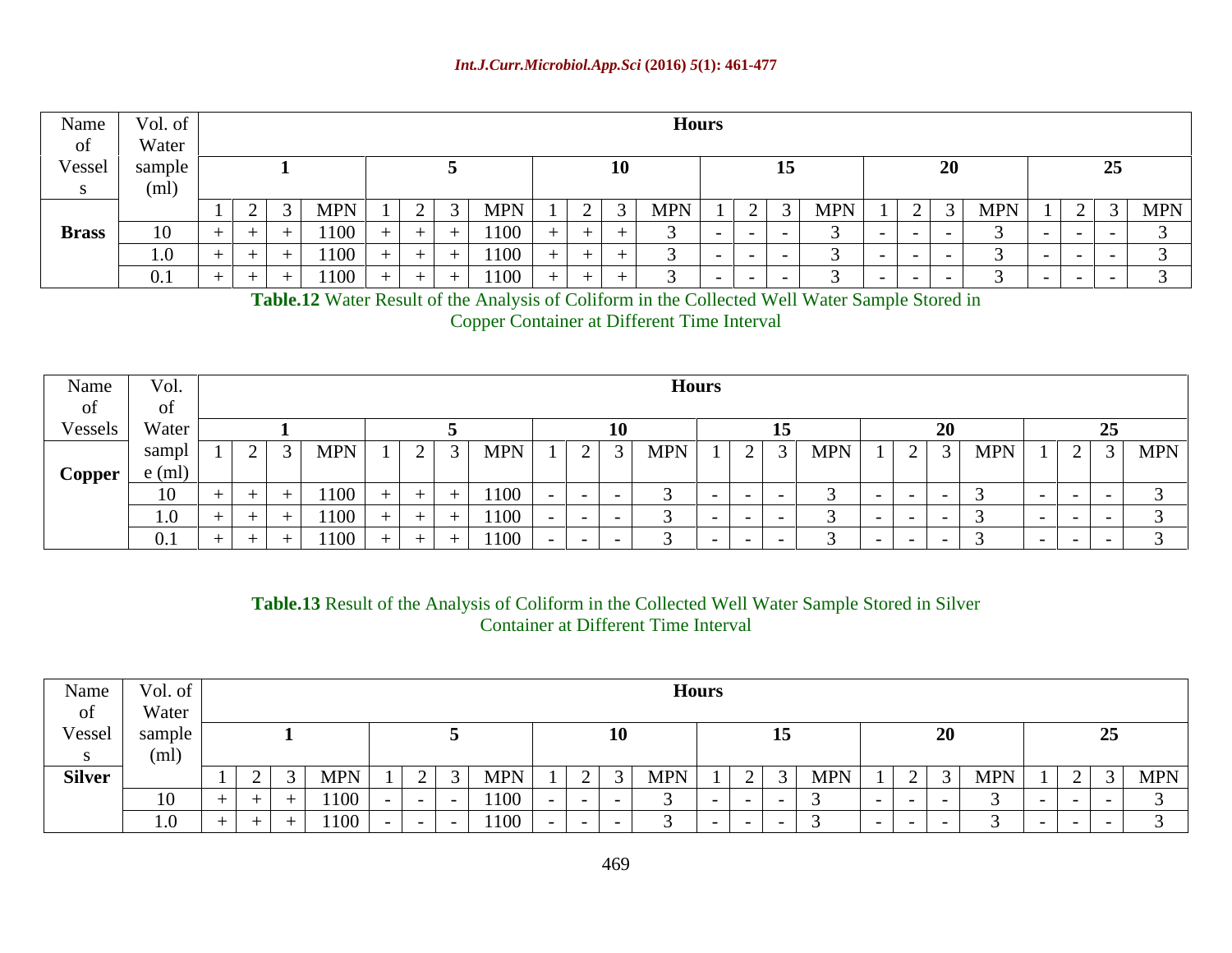| Name         | Vol. of                      |                                                                                                                                             |                                                                            |                         | <b>HOULS</b> |                                                                                                                 |     |                                                                                                                     |                                           |  |
|--------------|------------------------------|---------------------------------------------------------------------------------------------------------------------------------------------|----------------------------------------------------------------------------|-------------------------|--------------|-----------------------------------------------------------------------------------------------------------------|-----|---------------------------------------------------------------------------------------------------------------------|-------------------------------------------|--|
|              | Water                        |                                                                                                                                             |                                                                            |                         |              |                                                                                                                 |     |                                                                                                                     |                                           |  |
| Vessel       | samp.                        |                                                                                                                                             |                                                                            |                         | $\mathbf{A}$ |                                                                                                                 |     |                                                                                                                     |                                           |  |
|              |                              |                                                                                                                                             |                                                                            |                         |              |                                                                                                                 |     |                                                                                                                     |                                           |  |
|              |                              | the contract of the contract of the contract of the contract of the contract of<br>$1 \mid 2 \mid 3 \mid \text{MPN} \mid$<br>$\blacksquare$ | <b>MPN</b><br>$\cap$ $\cap$ $\cap$ $\cap$<br>the control of the control of | the control of the con- |              | the contract of the contract of the contract of the contract of the contract of the contract of the contract of | MPN | $\left  \begin{array}{c c} 1 & 2 & 3 \end{array} \right $ MPN $\left  \begin{array}{c c} 1 & 2 \end{array} \right $ | $1 \mid 2 \mid 3 \mid \text{MPN}$<br>____ |  |
| <b>Brass</b> | $\mathbf{1}$<br>$\mathbf{v}$ | $+$ $+$ $-$                                                                                                                                 | 1100                                                                       |                         |              |                                                                                                                 |     |                                                                                                                     | - 1 - 1                                   |  |
|              |                              | .                                                                                                                                           | 1100                                                                       |                         |              | $\sim$ $\sim$ $\sim$ $\sim$                                                                                     |     |                                                                                                                     | .                                         |  |
|              | .                            | -1100-<br>+ + + + + +                                                                                                                       | 1100                                                                       |                         |              |                                                                                                                 |     |                                                                                                                     |                                           |  |

**Table.12** Water Result of the Analysis of Coliform in the Collected Well Water Sample Stored in

Copper Container at Different Time Interval

| Name                             | Vol.  | Hours                                                                                                           |                     |                                                                                                                                                                 |       |       |                             |  |  |  |          |                                         |                               |  |  |
|----------------------------------|-------|-----------------------------------------------------------------------------------------------------------------|---------------------|-----------------------------------------------------------------------------------------------------------------------------------------------------------------|-------|-------|-----------------------------|--|--|--|----------|-----------------------------------------|-------------------------------|--|--|
|                                  |       |                                                                                                                 |                     |                                                                                                                                                                 |       |       |                             |  |  |  |          |                                         |                               |  |  |
| Vessels Water                    |       |                                                                                                                 |                     |                                                                                                                                                                 |       |       |                             |  |  |  |          |                                         |                               |  |  |
|                                  | sampi | $\blacksquare$                                                                                                  | $3$ MPN $1$ 2 3 MPN |                                                                                                                                                                 |       |       | 1   2   3   MPN   1   2   3 |  |  |  | $\sim$ 1 | $MN \mid 1 \mid 2 \mid 3 \mid MPN \mid$ |                               |  |  |
| $\log P$ Copper $\frac{e(m)}{2}$ |       |                                                                                                                 |                     |                                                                                                                                                                 |       |       |                             |  |  |  |          |                                         | the control of the control of |  |  |
|                                  |       |                                                                                                                 | 1100                |                                                                                                                                                                 |       |       |                             |  |  |  |          |                                         | _________________             |  |  |
|                                  |       |                                                                                                                 | 100 L               |                                                                                                                                                                 | 1100- | _____ |                             |  |  |  |          |                                         |                               |  |  |
|                                  |       | the contract of the contract of the contract of the contract of the contract of the contract of the contract of |                     | ——————<br>$1100$ $+$ $+$ $+$ $+$ $+$ $+$ $1$<br>the contract of the contract of the contract of the contract of the contract of the contract of the contract of | 1100  |       |                             |  |  |  |          |                                         | _______________               |  |  |

**Table.13** Result of the Analysis of Coliform in the Collected Well Water Sample Stored in Silver Container at Different Time Interval

| Name Vol. of  |               |         |        |       | <b>Hours</b> |  |                      |                                                                                                  |  |
|---------------|---------------|---------|--------|-------|--------------|--|----------------------|--------------------------------------------------------------------------------------------------|--|
| of            | Water         |         |        |       |              |  |                      |                                                                                                  |  |
| Vessel        | sample        |         |        |       |              |  |                      |                                                                                                  |  |
|               |               |         |        |       |              |  |                      |                                                                                                  |  |
| <b>Silver</b> |               |         | MPN    | - MPN |              |  | <b>MPN</b><br>$\sim$ | $1 \mid 2 \mid 3 \mid \text{MPN} \mid$<br>$1 \cdot 2 \cdot$<br>the control of the control of the |  |
|               |               |         | 1100-  |       |              |  |                      | _______                                                                                          |  |
|               | $\sim$ $\sim$ | — I — I | 1100 L |       |              |  |                      |                                                                                                  |  |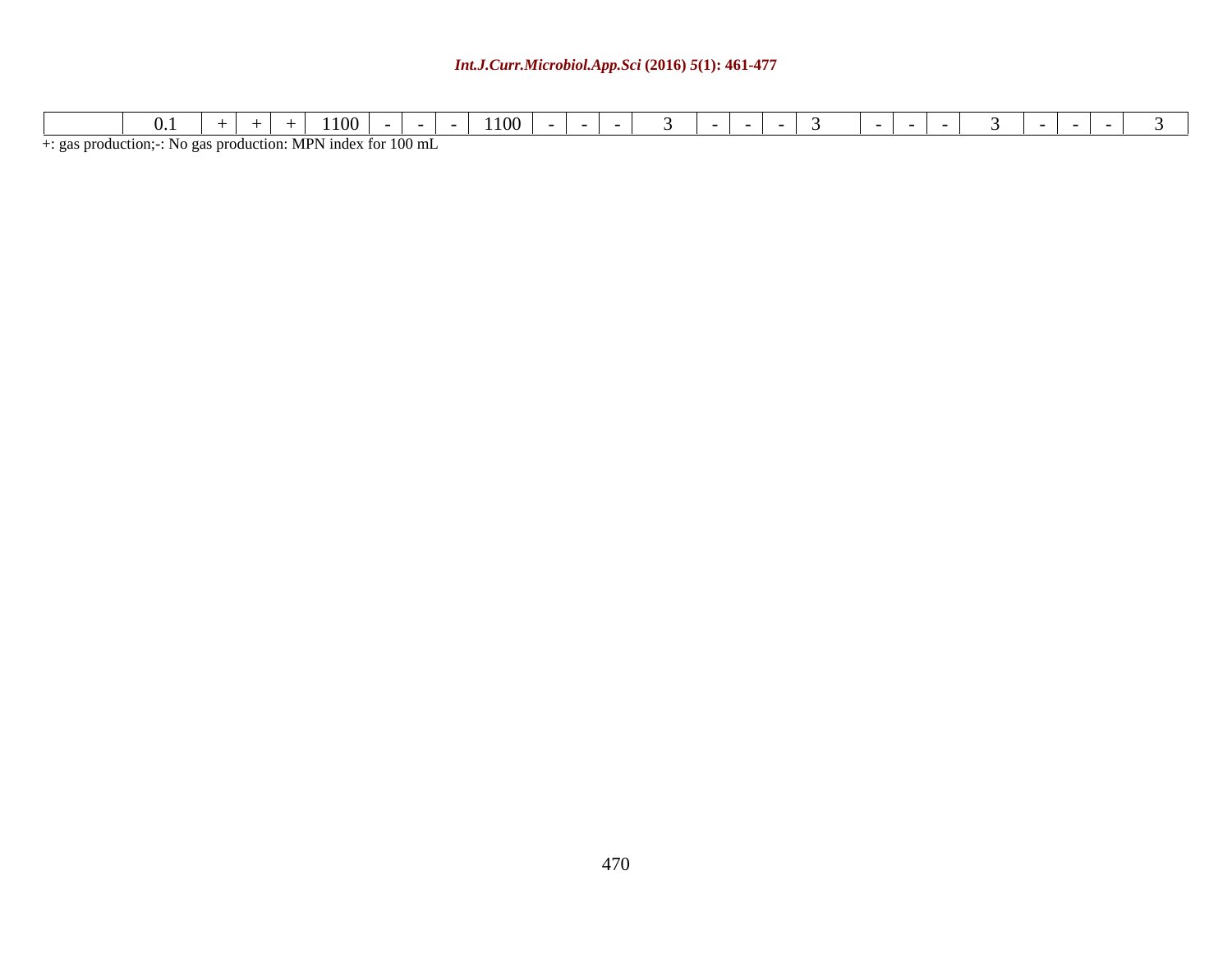### *Int.J.Curr.Microbiol.App.Sci* **(2016)** *5***(1): 461-477**

+: gas production;-: No gas production: MPN index for 100 mL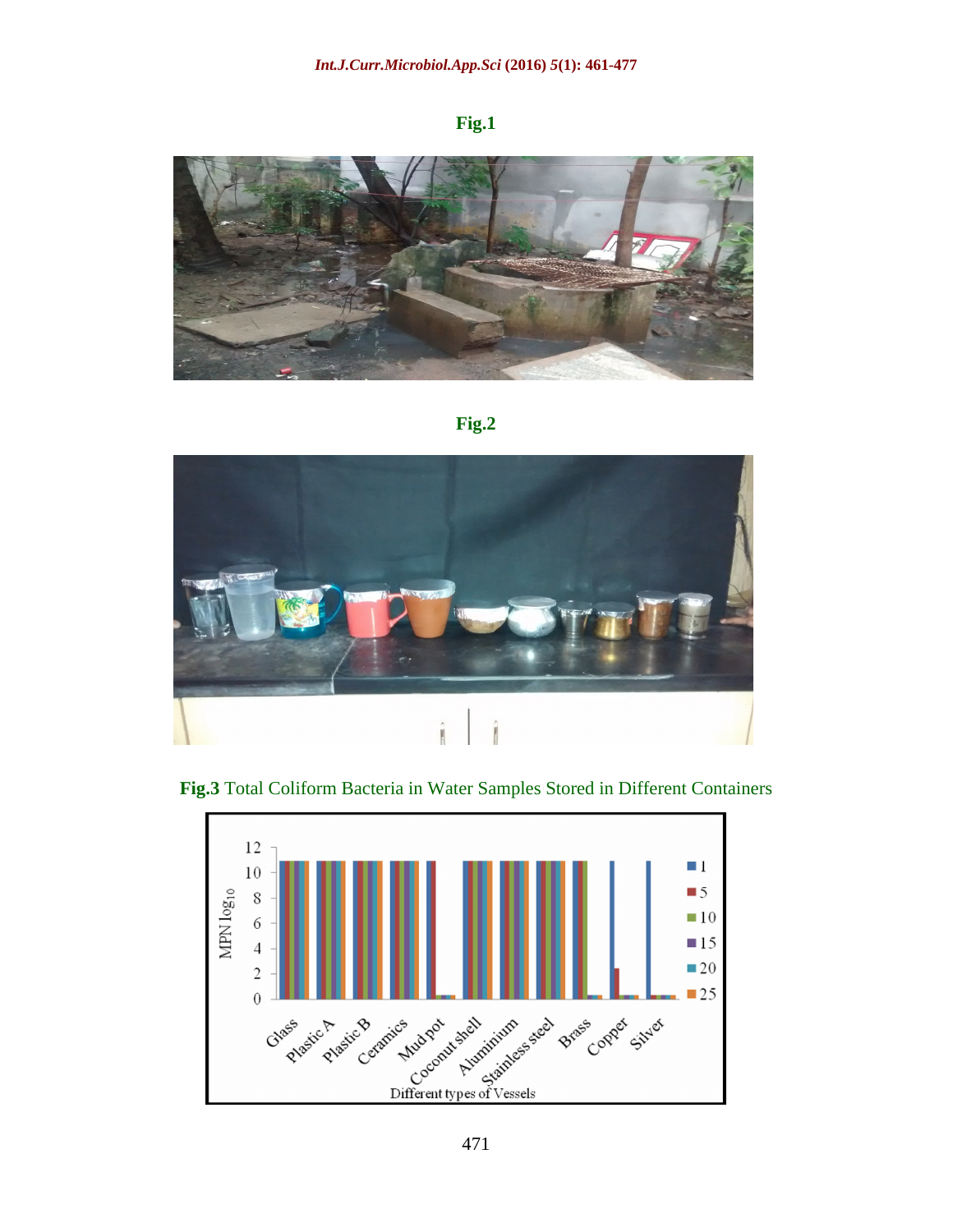### **Fig.1**







**Fig.3** Total Coliform Bacteria in Water Samples Stored in Different Containers

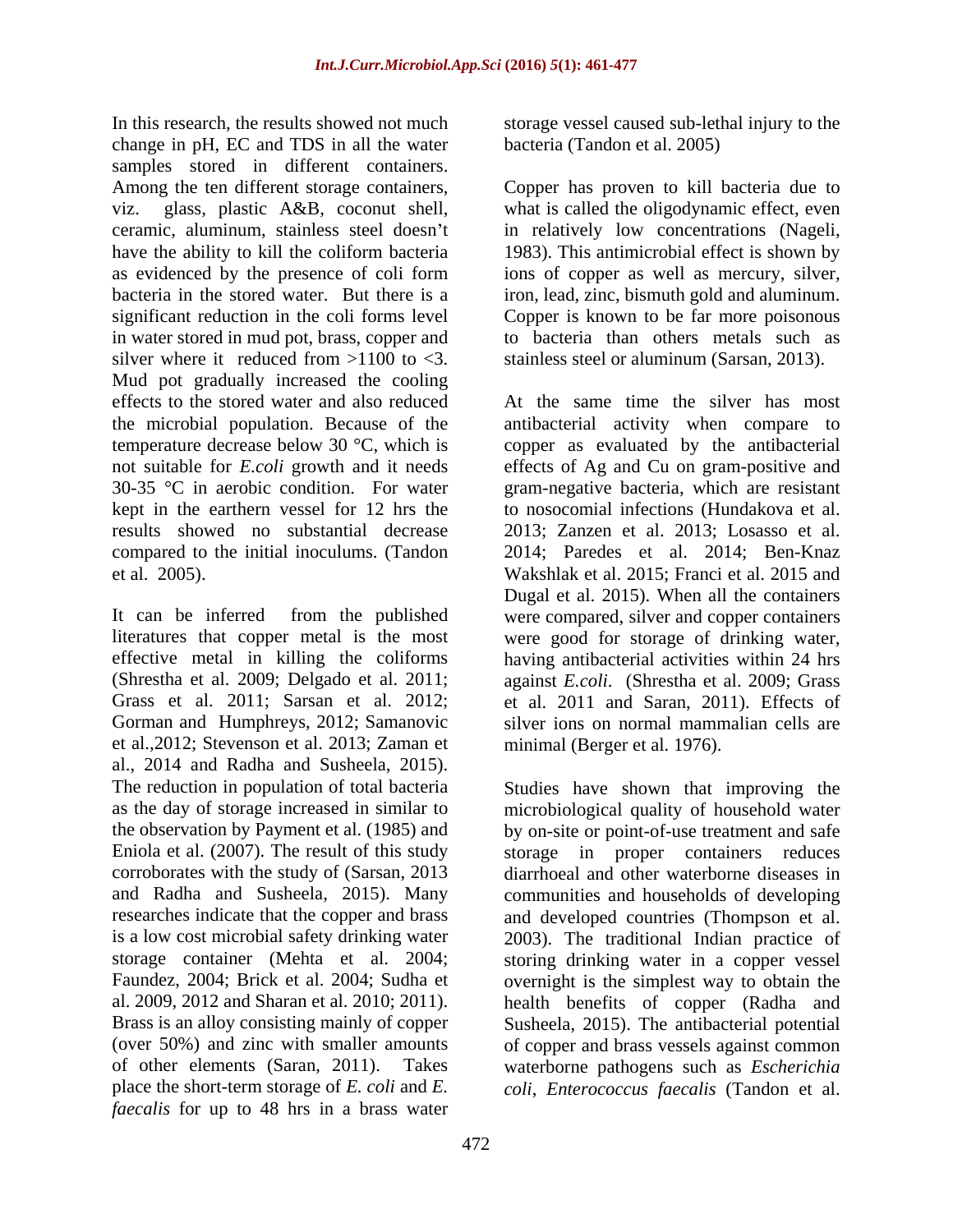In this research, the results showed not much storage vessel caused sub-lethal injury to the change in pH, EC and TDS in all the water samples stored in different containers. Among the ten different storage containers, Copper has proven to kill bacteria due to viz. glass, plastic A&B, coconut shell, what is called the oligodynamic effect, even ceramic, aluminum, stainless steel doesn't in relatively low concentrations (Nageli, have the ability to kill the coliform bacteria 1983). This antimicrobial effect is shown by as evidenced by the presence of coli form ions of copper as well as mercury, silver, bacteria in the stored water. But there is a iron, lead, zinc, bismuth gold and aluminum. significant reduction in the coli forms level Copper is known to be far more poisonous in water stored in mud pot, brass, copper and silver where it reduced from  $>1100$  to  $<$ 3. stainless steel or aluminum (Sarsan, 2013). Mud pot gradually increased the cooling effects to the stored water and also reduced temperature decrease below 30 °C, which is results showed no substantial decrease compared to the initial inoculums. (Tandon

Gorman and Humphreys, 2012; Samanovic et al.,2012; Stevenson et al. 2013; Zaman et al., 2014 and Radha and Susheela, 2015). The reduction in population of total bacteria place the short-term storage of *E. coli* and *E. coli*, *Enterococcus faecalis* (Tandon et al.*faecalis* for up to 48 hrs in a brass water

bacteria (Tandon et al. 2005)

to bacteria than others metals such as

the microbial population. Because of the antibacterial activity when compare to not suitable for *E.coli* growth and it needs effects of Ag and Cu on gram-positive and 30-35 °C in aerobic condition. For water gram-negative bacteria, which are resistant kept in the earthern vessel for 12 hrs the to nosocomial infections (Hundakova et al. et al. 2005). Wakshlak et al. 2015; Franci et al. 2015 and It can be inferred from the published were compared, silver and copper containers literatures that copper metal is the most were good for storage of drinking water, effective metal in killing the coliforms having antibacterial activities within 24 hrs (Shrestha et al. 2009; Delgado et al. 2011; against *E.coli*. (Shrestha et al. 2009; Grass Grass et al. 2011; Sarsan et al. 2012; et al. 2011 and Saran, 2011). Effects of At the same time the silver has most copper as evaluated by the antibacterial 2013; Zanzen et al. 2013; Losasso et al. 2014; Paredes et al. 2014; Ben-Knaz Dugal et al. 2015). When all the containers silver ions on normal mammalian cells are minimal (Berger et al. 1976).

as the day of storage increased in similar to microbiological quality of household water the observation by Payment et al. (1985) and by on-site or point-of-use treatment and safe Eniola et al. (2007). The result of this study storage in proper containers reduces corroborates with the study of (Sarsan, 2013 diarrhoeal and other waterborne diseases in and Radha and Susheela, 2015). Many communities and households of developing researches indicate that the copper and brass and developed countries (Thompson et al. is a low cost microbial safety drinking water 2003). The traditional Indian practice of storage container (Mehta et al. 2004; storing drinking water in a copper vessel Faundez, 2004; Brick et al. 2004; Sudha et overnight is the simplest way to obtain the al. 2009, 2012 and Sharan et al. 2010; 2011). health benefits of copper (Radha and Brass is an alloy consisting mainly of copper Susheela, 2015). The antibacterial potential (over 50%) and zinc with smaller amounts of copper and brass vessels against common of other elements (Saran, 2011). Takes waterborne pathogens such as *Escherichia*  Studies have shown that improving the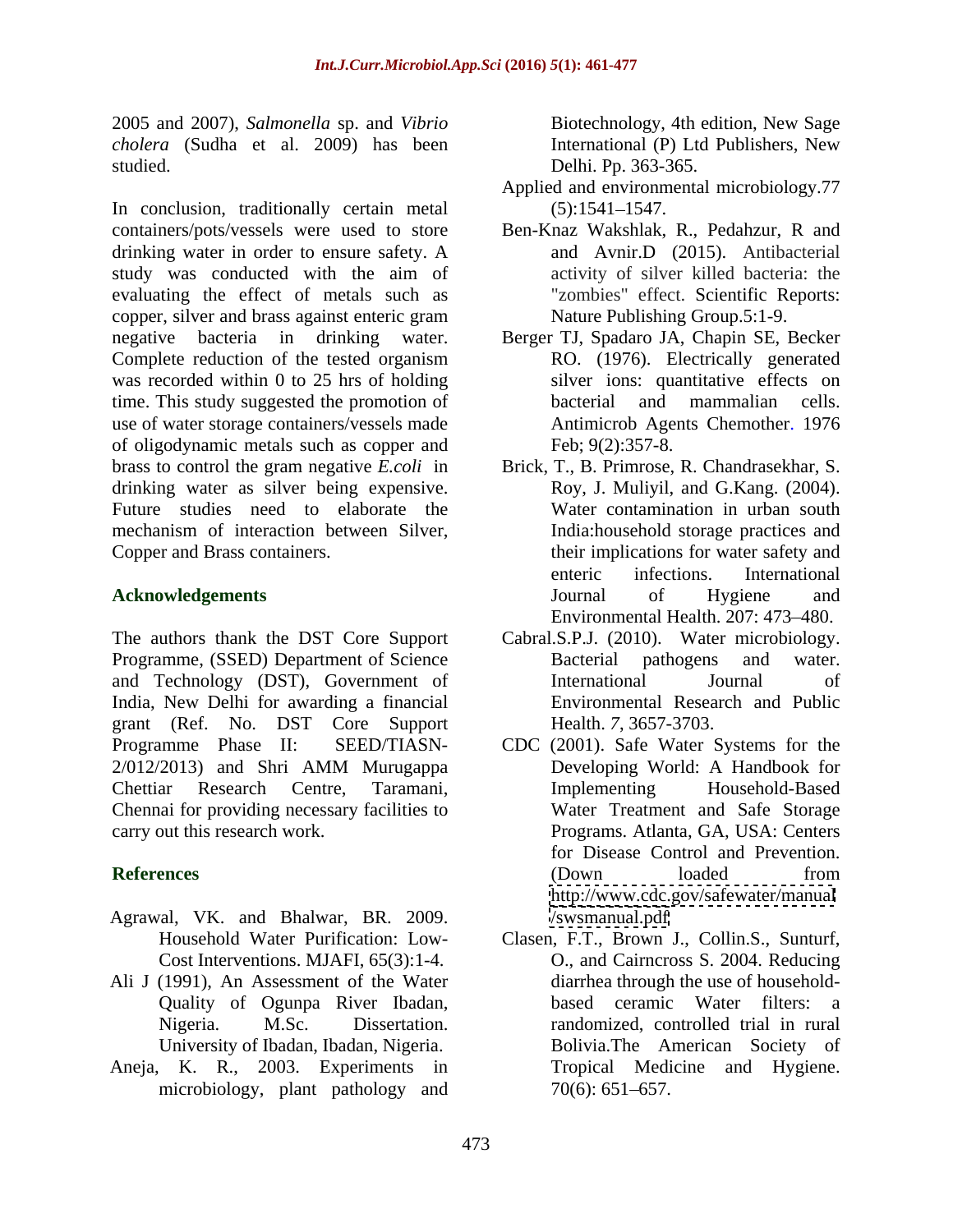2005 and 2007), *Salmonella* sp. and *Vibrio cholera* (Sudha et al. 2009) has been studied. Delhi. Pp. 363-365.

In conclusion, traditionally certain metal (5):1541-1547. containers/pots/vessels were used to store Ben-Knaz Wakshlak, R., Pedahzur, R and drinking water in order to ensure safety. A study was conducted with the aim of evaluating the effect of metals such as copper, silver and brass against enteric gram negative bacteria in drinking water. Berger TJ, Spadaro JA, Chapin SE, Becker Complete reduction of the tested organism was recorded within 0 to 25 hrs of holding time. This study suggested the promotion of bacterial and mammalian cells. use of water storage containers/vessels made of oligodynamic metals such as copper and drinking water as silver being expensive. Future studies need to elaborate the

The authors thank the DST Core Support Programme, (SSED) Department of Science Bacterial pathogens and water. and Technology (DST), Government of India, New Delhi for awarding a financial grant (Ref. No. DST Core Support Chennai for providing necessary facilities to

- Agrawal, VK. and Bhalwar, BR. 2009.
- Ali J (1991), An Assessment of the Water University of Ibadan, Ibadan, Nigeria.
- Aneja, K. R., 2003. Experiments in microbiology, plant pathology and  $70(6)$ : 651–657.

Biotechnology, 4th edition, New Sage International (P) Ltd Publishers, New

- Applied and environmental microbiology.77  $(5):1541 - 1547.$
- and Avnir.D (2015). Antibacterial activity of silver killed bacteria: the "zombies" effect. Scientific Reports: Nature Publishing Group.5:1-9.
- RO. (1976). Electrically generated silver ions: quantitative effects on bacterial and mammalian cells. Antimicrob Agents Chemother. 1976 Feb; 9(2):357-8.
- brass to control the gram negative *E.coli* in Brick, T., B. Primrose, R. Chandrasekhar, S. mechanism of interaction between Silver, India:household storage practices and Copper and Brass containers. their implications for water safety and **Acknowledgements Conserversion Conserversion Conserversion Conserversion Conserversion Conserversion Conserversion Conserversion Conserversion Conserversion Conserversion Conserversion Conservers** Roy, J. Muliyil, and G.Kang. (2004). Water contamination in urban south enteric infections. International Journal of Hygiene and Environmental Health. 207: 473-480.
	- Cabral.S.P.J. (2010). Water microbiology. Bacterial pathogens and water. International Journal of Environmental Research and Public Health. *7*, 3657-3703.
- Programme Phase II: SEED/TIASN- CDC (2001). Safe Water Systems for the 2/012/2013) and Shri AMM Murugappa Chettiar Research Centre, Taramani, carry out this research work. Programs. Atlanta, GA, USA: Centers **References COOWI COOWI COOWI COOWI COOWI COOWI COOWI** Developing World: A Handbook for Implementing Household-Based Water Treatment and Safe Storage for Disease Control and Prevention. (Down loaded from <http://www.cdc.gov/safewater/manual> </swsmanual.pdf>
	- Household Water Purification: Low- Clasen, F.T., Brown J., Collin.S., Sunturf, Cost Interventions. MJAFI, 65(3):1-4. O., and Cairncross S. 2004. Reducing Quality of Ogunpa River Ibadan, based ceramic Water filters: a Nigeria. M.Sc. Dissertation. randomized, controlled trial in rural diarrhea through the use of household- Bolivia.The American Society of Tropical Medicine and Hygiene.<br>70(6): 651–657.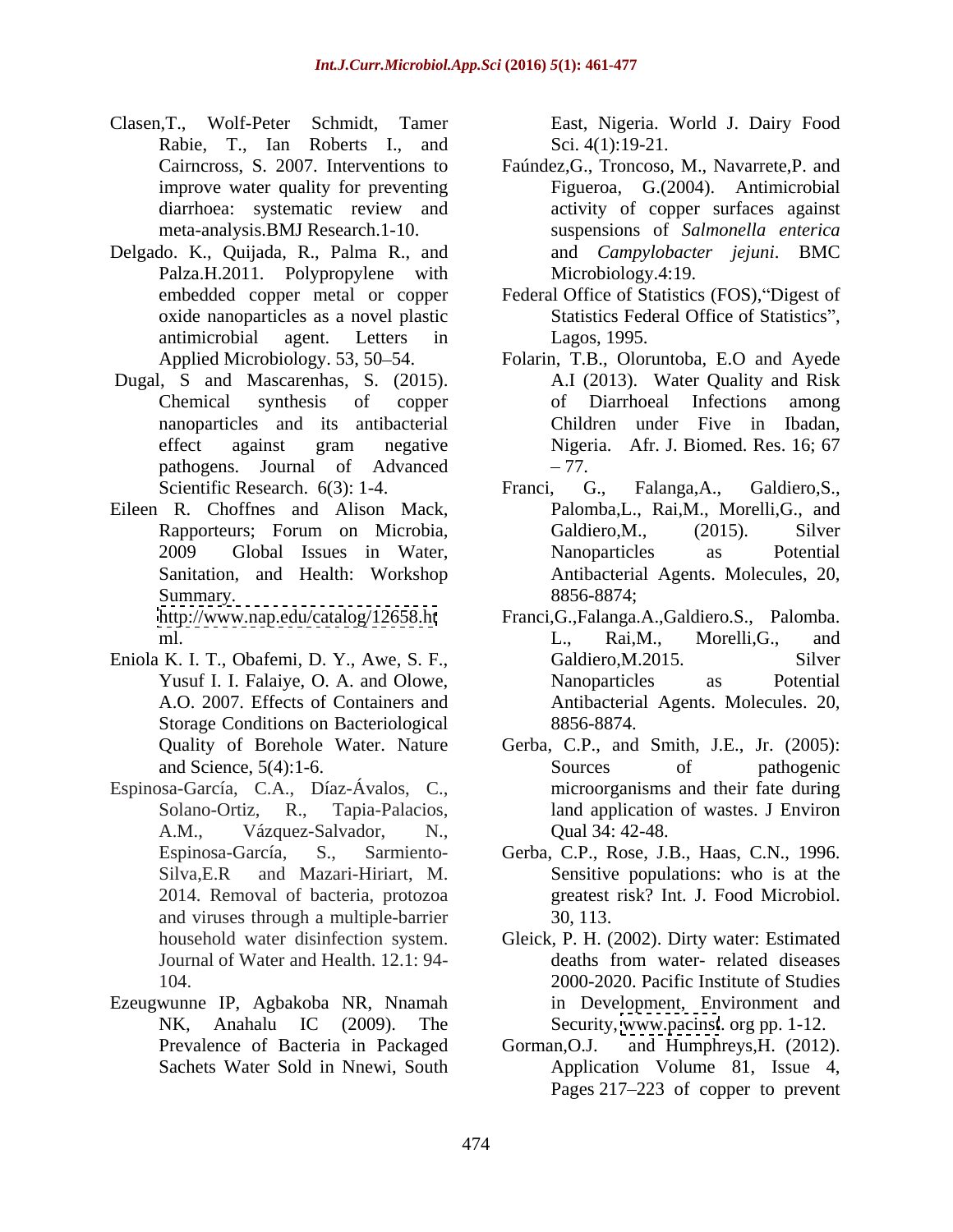- Clasen,T., Wolf-Peter Schmidt, Tamer East, Nigeria. World J. Dairy Food Rabie, T., Ian Roberts I., and
- Delgado. K., Quijada, R., Palma R., and Palza.H.2011. Polypropylene with
- Dugal, S and Mascarenhas, S. (2015). nanoparticles and its antibacterial
- Eileen R. Choffnes and Alison Mack,

Eniola K. I. T., Obafemi, D. Y., Awe, S. F., Galdiero, M.2015. Silver Storage Conditions on Bacteriological 8856-8874.

- Espinosa-García, C.A., Díaz-Ávalos, C., A.M., Vázquez-Salvador, N., and viruses through a multiple-barrier
- Ezeugwunne IP, Agbakoba NR, Nnamah Prevalence of Bacteria in Packaged Gorman, O.J.

Sci. 4(1):19-21.

- Cairncross, S. 2007. Interventions to Faúndez,G., Troncoso, M., Navarrete,P. and improve water quality for preventing Figueroa, G.(2004). Antimicrobial diarrhoea: systematic review and activity of copper surfaces against meta-analysis.BMJ Research.1-10. suspensions of *Salmonella enterica* activity of copper surfaces against and *Campylobacter jejuni*. BMC Microbiology.4:19.
- embedded copper metal or copper Federal Office of Statistics (FOS), "Digest of oxide nanoparticles as a novel plastic Statistics Federal Office of Statistics", antimicrobial agent. Letters in Lagos, 1995.
- Applied Microbiology. 53, 50–54. Folarin, T.B., Oloruntoba, E.O and Ayede Chemical synthesis of copper effect against gram negative Nigeria. Afr. J. Biomed. Res. 16; 67 pathogens. Journal of Advanced A.I (2013). Water Quality and Risk of Diarrhoeal Infections among Children under Five in Ibadan, Nigeria. Afr. J. Biomed. Res. 16; 67 77.
- Scientific Research. 6(3): 1-4. Franci, G., Falanga, A., Galdiero, S., Rapporteurs; Forum on Microbia, 2009 Global Issues in Water, Sanitation, and Health: Workshop Antibacterial Agents. Molecules, 20, 8856-8874; Summary. 8856-8874; Franci, G., Falanga,A., Galdiero,S., Palomba,L., Rai,M., Morelli,G., and Galdiero, M., (2015). Silver Nanoparticles as Potential
- <http://www.nap.edu/catalog/12658.ht> Franci,G.,Falanga.A.,Galdiero.S., Palomba. ml. Contract and the contract of the contract and the contract of the contract and the contract of the contract  $L_i$ , Rai, M., Morelli, G., and  $L_i$ Yusuf I. I. Falaiye, O. A. and Olowe, A.O. 2007. Effects of Containers and Antibacterial Agents. Molecules. 20, 8856-8874. L., Rai,M., Morelli,G., and Galdiero, M. 2015. Silver Nanoparticles as Potential
- Quality of Borehole Water. Nature Gerba, C.P., and Smith, J.E., Jr. (2005): and Science, 5(4):1-6. Sources of pathogenic Solano-Ortiz, R., Tapia-Palacios, land application of wastes. J Environ Sources of pathogenic microorganisms and their fate during Qual 34: 42-48.
- Espinosa-García, S., Sarmiento- Gerba, C.P., Rose, J.B., Haas, C.N., 1996. Silva,E.R and Mazari-Hiriart, M. Sensitive populations: who is at the 2014. Removal of bacteria, protozoa greatest risk? Int. J. Food Microbiol. 30, 113.
- household water disinfection system. Gleick, P. H. (2002). Dirty water: Estimated Journal of Water and Health. 12.1: 94- 104. 2000-2020. Pacific Institute of Studies NK, Anahalu IC (2009). The Security, [www.pacinst](http://www.pacinst). org pp. 1-12. deaths from water- related diseases in Development, Environment and
- Sachets Water Sold in Nnewi, South Application Volume 81, Issue 4, and Humphreys, H.  $(2012)$ . Pages 217–223 of copper to prevent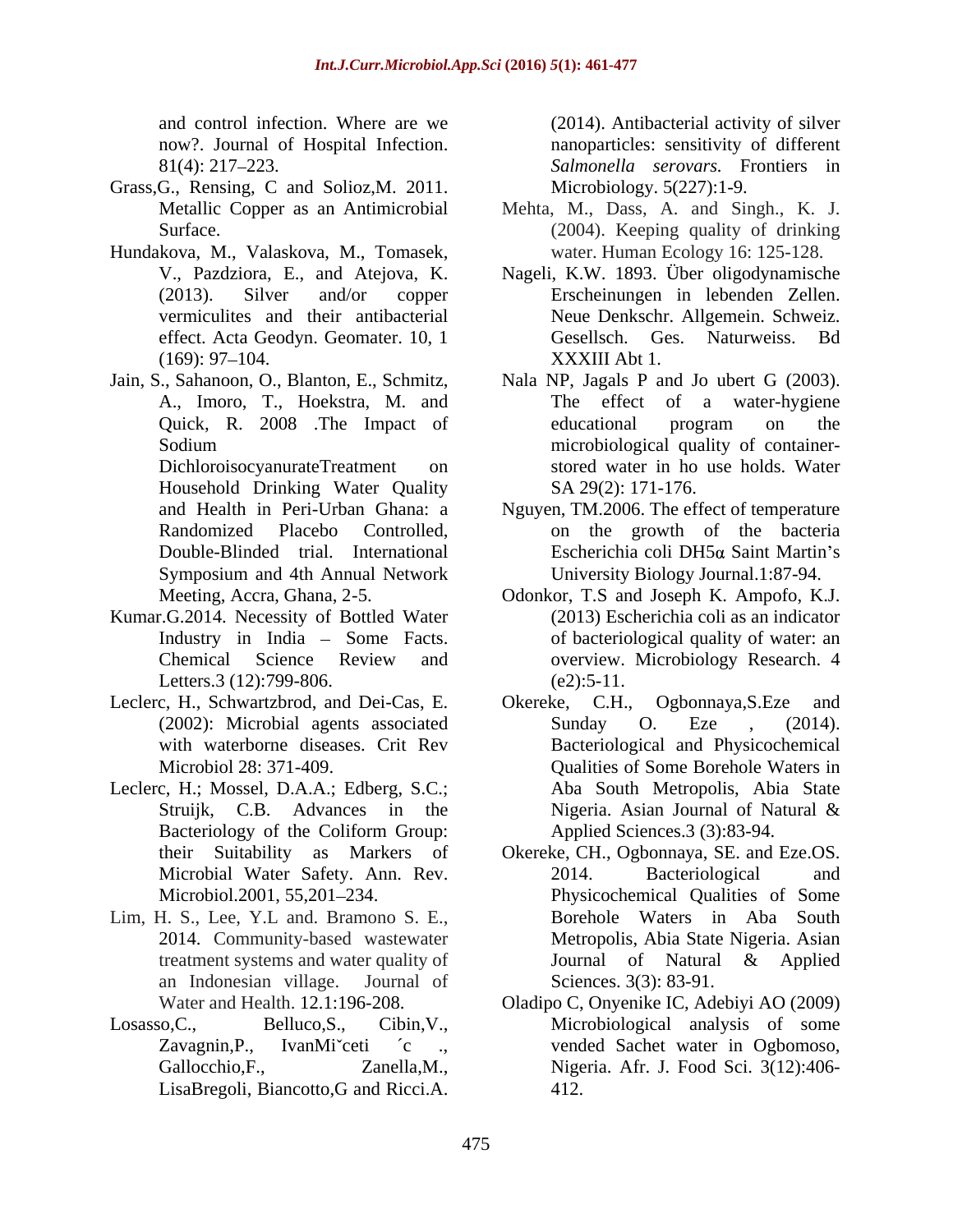- Grass,G., Rensing, C and Solioz,M. 2011.
- Hundakova, M., Valaskova, M., Tomasek,
- 

Household Drinking Water Quality

- Kumar.G.2014. Necessity of Bottled Water Industry in India - Some Facts. Letters.3 (12):799-806. (e2):5-11.
- Leclerc, H., Schwartzbrod, and Dei-Cas, E. Chereke, C.H., Ogbonnaya, S.Eze and
- Leclerc, H.; Mossel, D.A.A.; Edberg, S.C.;
- Lim, H. S., Lee, Y.L and. Bramono S. E.,
- 

and control infection. Where are we (2014). Antibacterial activity of silver now?. Journal of Hospital Infection. hanoparticles: sensitivity of different 81(4): 217 223. *Salmonella serovars.* Frontiers in Microbiology. 5(227):1-9.

- Metallic Copper as an Antimicrobial Mehta, M., Dass, A. and Singh., K. J. Surface. (2004). Keeping quality of drinking water. Human Ecology 16: 125-128.
- V., Pazdziora, E., and Atejova, K. Nageli, K.W. 1893. Über oligodynamische (2013). Silver and/or copper Erscheinungen in lebenden Zellen. vermiculites and their antibacterial Neue Denkschr. Allgemein. Schweiz. effect. Acta Geodyn. Geomater. 10, 1 Gesellsch. Ges. Naturweiss. Bd (169): 97–104. XXXIII Abt 1. Gesellsch. Ges. Naturweiss. Bd XXXIII Abt 1.
- Jain, S., Sahanoon, O., Blanton, E., Schmitz, Nala NP, Jagals P and Jo ubert G (2003). A., Imoro, T., Hoekstra, M. and Quick, R. 2008 .The Impact of Sodium microbiological quality of container- DichloroisocyanurateTreatment on stored water in ho use holds. Water The effect of a water-hygiene educational program on the SA 29(2): 171-176.
	- and Health in Peri-Urban Ghana: a Nguyen, TM.2006. The effect of temperature Randomized Placebo Controlled, on the growth of the bacteria Double-Blinded trial. International Escherichia coli DH5a Saint Martin's Symposium and 4th Annual Network **Example 1** University Biology Journal.1:87-94. University Biology Journal.1:87-94.
	- Meeting, Accra, Ghana, 2-5. Odonkor, T.S and Joseph K. Ampofo, K.J. Chemical Science Review and overview. Microbiology Research. 4 (2013) Escherichia coli as an indicator of bacteriological quality of water: an  $(e2):5-11.$
	- (2002): Microbial agents associated Sunday O. Eze , (2014). with waterborne diseases. Crit Rev Bacteriological and Physicochemical Microbiol 28: 371-409. Qualities of Some Borehole Waters in Struijk, C.B. Advances in the Nigeria. Asian Journal of Natural & Bacteriology of the Coliform Group: Applied Sciences.3 (3):83-94. Okereke, C.H., Ogbonnaya, S.Eze Sunday O. Eze , (2014). Aba South Metropolis, Abia State Nigeria. Asian Journal of Natural & Applied Sciences.3 (3):83-94.
	- their Suitability as Markers of Okereke, CH., Ogbonnaya, SE. and Eze.OS. Microbial Water Safety. Ann. Rev. Microbiol.2001, 55,201–234. Physicochemical Qualities of Some 2014. Community-based wastewater Metropolis, Abia State Nigeria. Asian treatment systems and water quality of **Solution** Journal of Natural & Applied an Indonesian village. Journal of Sciences. 3(3): 83-91. 2014. Bacteriological and Borehole Waters in Aba South Journal of Natural & Applied Sciences. 3(3): 83-91.
- Water and Health. 12.1:196-208. Oladipo C, Onyenike IC, Adebiyi AO (2009) Losasso,C., Belluco,S., Cibin,V., Microbiological analysis of some Zavagnin,P., IvanMi ceti <sup>c</sup> ., vended Sachet water in Ogbomoso, Gallocchio,F., Zanella,M., Nigeria. Afr. J. Food Sci. 3(12):406- LisaBregoli, Biancotto,G and Ricci.A. 412.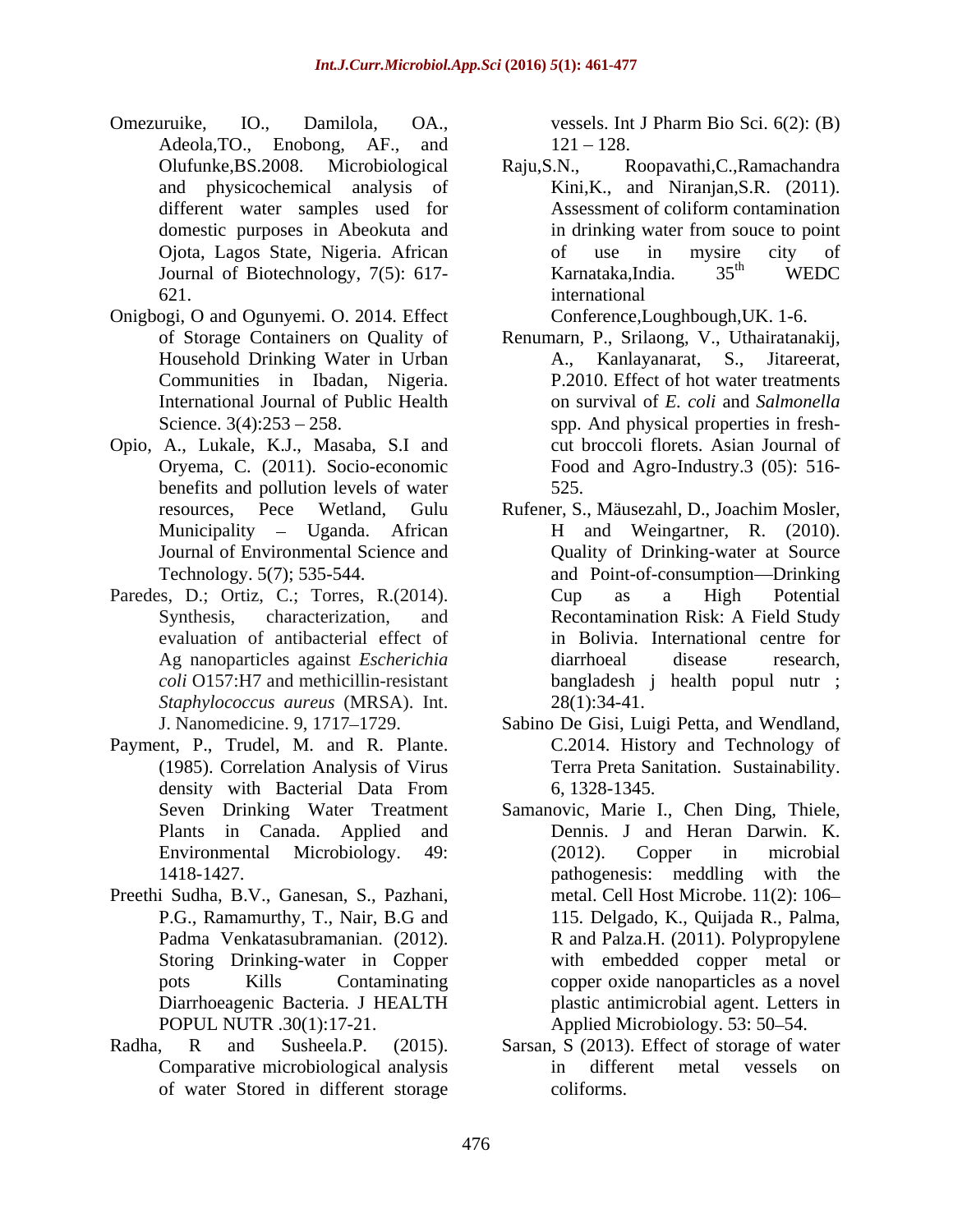- Omezuruike, IO., Damilola, OA., vessels. Int J Pharm Bio Sci. 6(2): (B) Adeola, TO., Enobong, AF., and 121 – 128. different water samples used for
- Onigbogi, O and Ogunyemi. O. 2014. Effect Household Drinking Water in Urban
- Opio, A., Lukale, K.J., Masaba, S.I and benefits and pollution levels of water 525. Journal of Environmental Science and
- *Staphylococcus aureus* (MRSA). Int.
- Payment, P., Trudel, M. and R. Plante.
- Preethi Sudha, B.V., Ganesan, S., Pazhani,
- of water Stored in different storage

vessels. Int J Pharm Bio Sci. 6(2): (B)  $121 - 128$ .

Olufunke,BS.2008. Microbiological Raju,S.N., Roopavathi,C.,Ramachandra and physicochemical analysis of Kini,K., and Niranjan,S.R. (2011). domestic purposes in Abeokuta and in drinking water from souce to point Ojota, Lagos State, Nigeria. African Journal of Biotechnology, 7(5): 617-<br>Karnataka, India.  $35<sup>th</sup>$  WEDC 621. International Assessment of coliform contamination in drinking water from souce to point of use in mysire city of Karnataka,India. 35<sup>th</sup> WEDC th WEDC international

Conference,Loughbough,UK. 1-6.

- of Storage Containers on Quality of Renumarn, P., Srilaong, V., Uthairatanakij, Communities in Ibadan, Nigeria. P.2010. Effect of hot water treatments International Journal of Public Health on survival of *E. coli* and *Salmonella*  Science. 3(4):253 – 258. Spp. And physical properties in fresh-Oryema, C. (2011). Socio-economic Food and Agro-Industry.3 (05): 516- Kanlayanarat, S., Jitareerat, cut broccoli florets. Asian Journal of 525.
- resources, Pece Wetland, Gulu Rufener, S., Mäusezahl, D., Joachim Mosler, Municipality – Uganda. African H and Weingartner, R. (2010). Technology. 5(7); 535-544. and Point-of-consumption Drinking Paredes, D.; Ortiz, C.; Torres, R.(2014). Cup as a High Potential Synthesis, characterization, and Recontamination Risk: A Field Study evaluation of antibacterial effect of in Bolivia. International centre for Ag nanoparticles against *Escherichia* diarrhoeal disease research, coli O157:H7 and methicillin-resistant bangladesh j health popul nutr ; *coli* O157:H7 and methicillin-resistant bangladesh j health popul nutr ; Quality of Drinking-water at Source Cup as a High Potential diarrhoeal disease research,  $28(1):34-41.$ 
	- J. Nanomedicine. 9, 1717 1729. Sabino De Gisi, Luigi Petta, and Wendland, (1985). Correlation Analysis of Virus Terra Preta Sanitation. Sustainability. density with Bacterial Data From 6, 1328-1345. C.2014. History and Technology of
	- Seven Drinking Water Treatment Samanovic, Marie I., Chen Ding, Thiele, Plants in Canada. Applied and **Dennis.** J and Heran Darwin. K. Environmental Microbiology. 49: 1418-1427. pathogenesis: meddling with the P.G., Ramamurthy, T., Nair, B.G and 115. Delgado, K., Quijada R., Palma, Padma Venkatasubramanian. (2012). R and Palza.H. (2011). Polypropylene Storing Drinking-water in Copper with embedded copper metal or pots Kills Contaminating copper oxide nanoparticles as a novel Diarrhoeagenic Bacteria. J HEALTH POPUL NUTR .30(1):17-21. Applied Microbiology. 53: 50 54. 6, 1328-1345. Samanovic, Marie I., Chen Ding, Thiele, Dennis. <sup>J</sup> and Heran Darwin. K. (2012). Copper in microbial metal. Cell Host Microbe. 11(2): 106 115. Delgado, K., Quijada R., Palma, plastic antimicrobial agent. Letters in
- Radha, R and Susheela.P. (2015). Sarsan, S (2013). Effect of storage of water Comparative microbiological analysis in different metal vessels on coliforms.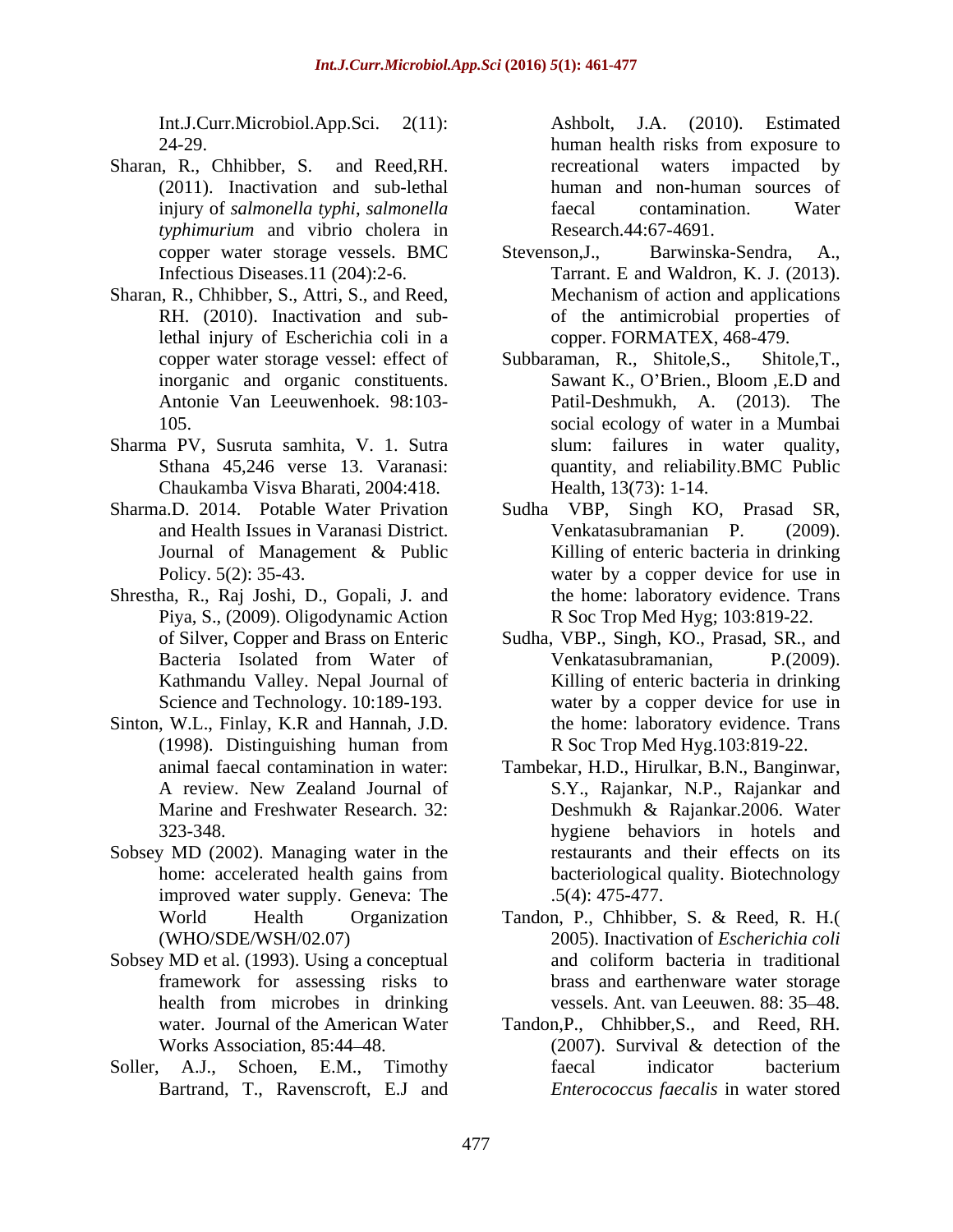24-29. human health risks from exposure to

- Sharan, R., Chhibber, S. and Reed,RH. (2011). Inactivation and sub-lethal injury of *salmonella typhi*, *salmonella typhimurium* and vibrio cholera in
- Sharan, R., Chhibber, S., Attri, S., and Reed,<br>
RH. (2010). Inactivation and sub-<br>
of the antimicrobial properties of lethal injury of Escherichia coli in a
- Sharma PV, Susruta samhita, V. 1. Sutra Chaukamba Visva Bharati, 2004:418.
- 
- Shrestha, R., Raj Joshi, D., Gopali, J. and Piya, S., (2009). Oligodynamic Action Science and Technology. 10:189-193.
- Sinton, W.L., Finlay, K.R and Hannah, J.D. the home: laboratory evidence. Trans (1998). Distinguishing human from R Soc Trop Med Hyg.103:819-22.
- Sobsey MD (2002). Managing water in the improved water supply. Geneva: The
- Sobsey MD et al. (1993). Using a conceptual and coliform bacteria in traditional
- Soller, A.J., Schoen, E.M., Timothy faecal indicator bacterium Bartrand, T., Ravenscroft, E.J and

Int.J.Curr.Microbiol.App.Sci. 2(11): Ashbolt, J.A. (2010). Estimated human health risks from exposure to recreational waters impacted by human and non-human sources of faecal contamination. Water Research.44:67-4691.

- copper water storage vessels. BMC Infectious Diseases.11 (204):2-6. Tarrant. E and Waldron, K. J. (2013). RH. (2010). Inactivation and sub-of the antimicrobial properties of Barwinska-Sendra, Mechanism of action and applications copper. FORMATEX, 468-479.
- copper water storage vessel: effect of Subbaraman, R., Shitole, S., Shitole, T., inorganic and organic constituents. Sawant K., O'Brien., Bloom E.D and Antonie Van Leeuwenhoek. 98:103- Patil-Deshmukh, A. (2013). The 105. social ecology of water in a Mumbai Sthana 45,246 verse 13. Varanasi: quantity, and reliability.BMC Public Subbaraman, R., Shitole, S., Sawant K., O'Brien., Bloom , E.D and slum: failures in water quality, Health, 13(73): 1-14.
- Sharma.D. 2014. Potable Water Privation Sudha VBP, Singh KO, Prasad SR, and Health Issues in Varanasi District.<br>
Journal of Management & Public Killing of enteric bacteria in drinking Policy. 5(2): 35-43. Water by a copper device for use in Venkatasubramanian P. (2009). Killing of enteric bacteria in drinking the home: laboratory evidence. Trans R Soc Trop Med Hyg; 103:819-22.
	- of Silver, Copper and Brass on Enteric Sudha, VBP., Singh, KO., Prasad, SR., and Bacteria Isolated from Water of Venkatasubramanian, P.(2009). Kathmandu Valley. Nepal Journal of Killing of enteric bacteria in drinking Venkatasubramanian, P.(2009). water by a copper device for use in the home: laboratory evidence. Trans R Soc Trop Med Hyg.103:819-22.
	- animal faecal contamination in water: Tambekar, H.D., Hirulkar, B.N., Banginwar, A review. New Zealand Journal of S.Y., Rajankar, N.P., Rajankar and Marine and Freshwater Research. 32: Deshmukh & Rajankar.2006. Water 323-348. hygiene behaviors in hotels and home: accelerated health gains from bacteriological quality. Biotechnology restaurants and their effects on its bacteriological quality. Biotechnology .5(4): 475-477.
	- World Health Organization Tandon, P., Chhibber, S. & Reed, R. H.( (WHO/SDE/WSH/02.07) 2005). Inactivation of *Escherichia coli* framework for assessing risks to brass and earthenware water storage health from microbes in drinking vessels. Ant. van Leeuwen. 88: 35–48. and coliform bacteria in traditional vessels. Ant. van Leeuwen. 88: 35 48.
	- water. Journal of the American Water Tandon,P., Chhibber,S., and Reed, RH. Works Association, 85:44–48. (2007). Survival & detection of the (2007). Survival & detection of the faecal indicator bacterium *Enterococcus faecalis* in water stored